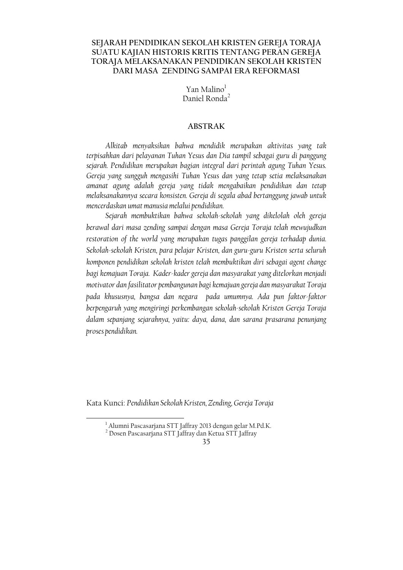# SEJARAH PENDIDIKAN SEKOLAH KRISTEN GEREJA TORAJA SUATU KAJIAN HISTORIS KRITIS TENTANG PERAN GEREJA TORAJA MELAKSANAKAN PENDIDIKAN SEKOLAH KRISTEN DARI MASA ZENDING SAMPAI ERA REFORMASI

Yan Malino<sup>1</sup> Daniel Ronda<sup>2</sup>

# **ABSTRAK**

Alkitab menyaksikan bahwa mendidik merupakan aktivitas yang tak terpisahkan dari pelayanan Tuhan Yesus dan Dia tampil sebagai guru di panggung sejarah. Pendidikan merupakan bagian integral dari perintah agung Tuhan Yesus. Gereja yang sungguh mengasihi Tuhan Yesus dan yang tetap setia melaksanakan amanat agung adalah gereja yang tidak mengabaikan pendidikan dan tetap melaksanakannya secara konsisten. Gereja di segala abad bertanggung jawab untuk mencerdaskan umat manusia melalui pendidikan.

Sejarah membuktikan bahwa sekolah-sekolah yang dikelolah oleh gereja berawal dari masa zending sampai dengan masa Gereja Toraja telah mewujudkan restoration of the world yang merupakan tugas panggilan gereja terhadap dunia. Sekolah-sekolah Kristen, para pelajar Kristen, dan guru-guru Kristen serta seluruh komponen pendidikan sekolah kristen telah membuktikan diri sebagai agent change bagi kemajuan Toraja. Kader-kader gereja dan masyarakat yang ditelorkan menjadi motivator dan fasilitator pembangunan bagi kemajuan gereja dan masyarakat Toraja pada khususnya, bangsa dan negara pada umumnya. Ada pun faktor-faktor berpengaruh yang mengiringi perkembangan sekolah-sekolah Kristen Gereja Toraja dalam sepanjang sejarahnya, yaitu: daya, dana, dan sarana prasarana penunjang proses pendidikan.

Kata Kunci: Pendidikan Sekolah Kristen, Zending, Gereja Toraja

<sup>&</sup>lt;sup>1</sup> Alumni Pascasarjana STT Jaffray 2013 dengan gelar M.Pd.K.

<sup>&</sup>lt;sup>2</sup> Dosen Pascasarjana STT Jaffray dan Ketua STT Jaffray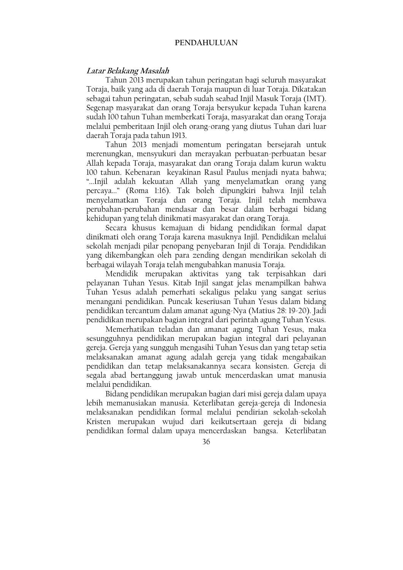### **PENDAHULUAN**

# Latar Belakang Masalah

Tahun 2013 merupakan tahun peringatan bagi seluruh masyarakat Toraja, baik yang ada di daerah Toraja maupun di luar Toraja. Dikatakan sebagai tahun peringatan, sebab sudah seabad Injil Masuk Toraja (IMT). Segenap masyarakat dan orang Toraja bersyukur kepada Tuhan karena sudah 100 tahun Tuhan memberkati Toraja, masyarakat dan orang Toraja melalui pemberitaan Injil oleh orang-orang yang diutus Tuhan dari luar daerah Toraja pada tahun 1913.

Tahun 2013 menjadi momentum peringatan bersejarah untuk merenungkan, mensyukuri dan merayakan perbuatan perbuatan besar Allah kepada Toraja, masyarakat dan orang Toraja dalam kurun waktu 100 tahun. Kebenaran keyakinan Rasul Paulus menjadi nyata bahwa; "...Injil adalah kekuatan Allah yang menyelamatkan orang yang percaya..." (Roma 1:16). Tak boleh dipungkiri bahwa Injil telah menyelamatkan Toraja dan orang Toraja. Injil telah membawa perubahan-perubahan mendasar dan besar dalam berbagai bidang kehidupan yang telah dinikmati masyarakat dan orang Toraja.

Secara khusus kemajuan di bidang pendidikan formal dapat dinikmati oleh orang Toraja karena masuknya Injil. Pendidikan melalui sekolah menjadi pilar penopang penyebaran Injil di Toraja. Pendidikan yang dikembangkan oleh para zending dengan mendirikan sekolah di berbagai wilayah Toraja telah mengubahkan manusia Toraja.

Mendidik merupakan aktivitas yang tak terpisahkan dari pelayanan Tuhan Yesus. Kitab Injil sangat jelas menampilkan bahwa Tuhan Yesus adalah pemerhati sekaligus pelaku yang sangat serius menangani pendidikan. Puncak keseriusan Tuhan Yesus dalam bidang pendidikan tercantum dalam amanat agung-Nya (Matius 28: 19-20). Jadi pendidikan merupakan bagian integral dari perintah agung Tuhan Yesus.

Memerhatikan teladan dan amanat agung Tuhan Yesus, maka sesungguhnya pendidikan merupakan bagian integral dari pelayanan gereja. Gereja yang sungguh mengasihi Tuhan Yesus dan yang tetap setia melaksanakan amanat agung adalah gereja yang tidak mengabaikan pendidikan dan tetap melaksanakannya secara konsisten. Gereja di segala abad bertanggung jawab untuk mencerdaskan umat manusia melalui pendidikan.

Bidang pendidikan merupakan bagian dari misi gereja dalam upaya lebih memanusiakan manusia. Keterlibatan gereja-gereja di Indonesia melaksanakan pendidikan formal melalui pendirian sekolah-sekolah Kristen merupakan wujud dari keikutsertaan gereja di bidang pendidikan formal dalam upaya mencerdaskan bangsa. Keterlibatan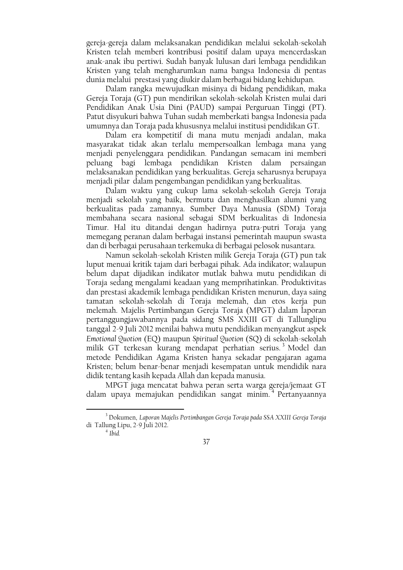gereja-gereja dalam melaksanakan pendidikan melalui sekolah-sekolah Kristen telah memberi kontribusi positif dalam upaya mencerdaskan anak-anak ibu pertiwi. Sudah banyak lulusan dari lembaga pendidikan Kristen yang telah mengharumkan nama bangsa Indonesia di pentas dunia melalui prestasi yang diukir dalam berbagai bidang kehidupan.

Dalam rangka mewujudkan misinya di bidang pendidikan, maka Gereja Toraja (GT) pun mendirikan sekolah-sekolah Kristen mulai dari Pendidikan Anak Usia Dini (PAUD) sampai Perguruan Tinggi (PT). Patut disyukuri bahwa Tuhan sudah memberkati bangsa Indonesia pada umumnya dan Toraja pada khususnya melalui institusi pendidikan GT.

Dalam era kompetitif di mana mutu menjadi andalan, maka masyarakat tidak akan terlalu mempersoalkan lembaga mana yang menjadi penyelenggara pendidikan. Pandangan semacam ini memberi peluang bagi lembaga pendidikan Kristen dalam persaingan melaksanakan pendidikan yang berkualitas. Gereja seharusnya berupaya menjadi pilar dalam pengembangan pendidikan yang berkualitas.

Dalam waktu yang cukup lama sekolah-sekolah Gereja Toraja menjadi sekolah yang baik, bermutu dan menghasilkan alumni yang berkualitas pada zamannya. Sumber Daya Manusia (SDM) Toraja membahana secara nasional sebagai SDM berkualitas di Indonesia Timur. Hal itu ditandai dengan hadirnya putra-putri Toraja yang memegang peranan dalam berbagai instansi pemerintah maupun swasta dan di berbagai perusahaan terkemuka di berbagai pelosok nusantara.

Namun sekolah-sekolah Kristen milik Gereja Toraja (GT) pun tak luput menuai kritik tajam dari berbagai pihak. Ada indikator; walaupun belum dapat dijadikan indikator mutlak bahwa mutu pendidikan di Toraja sedang mengalami keadaan yang memprihatinkan. Produktivitas dan prestasi akademik lembaga pendidikan Kristen menurun, daya saing tamatan sekolah-sekolah di Toraja melemah, dan etos kerja pun melemah. Majelis Pertimbangan Gereja Toraja (MPGT) dalam laporan pertanggungjawabannya pada sidang SMS XXIII GT di Tallunglipu tanggal 2-9 Juli 2012 menilai bahwa mutu pendidikan menyangkut aspek Emotional Quotion (EQ) maupun Spiritual Quotion (SQ) di sekolah-sekolah milik GT terkesan kurang mendapat perhatian serius.<sup>3</sup> Model dan metode Pendidikan Agama Kristen hanya sekadar pengajaran agama Kristen; belum benar-benar menjadi kesempatan untuk mendidik nara didik tentang kasih kepada Allah dan kepada manusia.

MPGT juga mencatat bahwa peran serta warga gereja/jemaat GT dalam upaya memajukan pendidikan sangat minim.<sup>4</sup> Pertanyaannya

<sup>&</sup>lt;sup>3</sup> Dokumen, Laporan Majelis Pertimbangan Gereja Toraja pada SSA XXIII Gereja Toraja di Tallung Lipu, 2-9 Juli 2012.

 $4$  Ibid.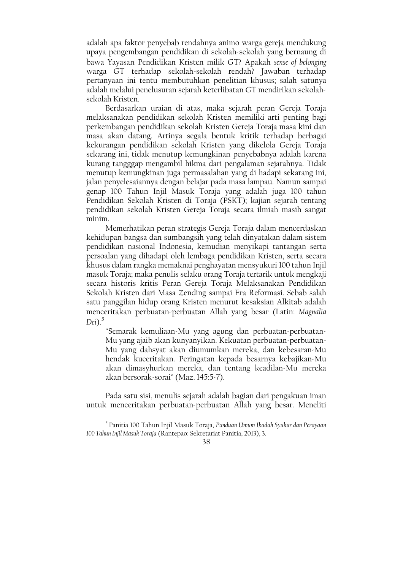adalah apa faktor penyebab rendahnya animo warga gereja mendukung upaya pengembangan pendidikan di sekolah-sekolah yang bernaung di bawa Yayasan Pendidikan Kristen milik GT? Apakah sense of belonging warga GT terhadap sekolah-sekolah rendah? Jawaban terhadap pertanyaan ini tentu membutuhkan penelitian khusus; salah satunya adalah melalui penelusuran sejarah keterlibatan GT mendirikan sekolahsekolah Kristen.

Berdasarkan uraian di atas, maka sejarah peran Gereja Toraja melaksanakan pendidikan sekolah Kristen memiliki arti penting bagi perkembangan pendidikan sekolah Kristen Gereja Toraja masa kini dan masa akan datang. Artinya segala bentuk kritik terhadap berbagai kekurangan pendidikan sekolah Kristen yang dikelola Gereja Toraja sekarang ini, tidak menutup kemungkinan penyebabnya adalah karena kurang tangggap mengambil hikma dari pengalaman sejarahnya. Tidak menutup kemungkinan juga permasalahan yang di hadapi sekarang ini, jalan penyelesaiannya dengan belajar pada masa lampau. Namun sampai genap 100 Tahun Injil Masuk Toraja yang adalah juga 100 tahun Pendidikan Sekolah Kristen di Toraja (PSKT); kajian sejarah tentang pendidikan sekolah Kristen Gereja Toraja secara ilmiah masih sangat minim.

Memerhatikan peran strategis Gereja Toraja dalam mencerdaskan kehidupan bangsa dan sumbangsih yang telah dinyatakan dalam sistem pendidikan nasional Indonesia, kemudian menyikapi tantangan serta persoalan yang dihadapi oleh lembaga pendidikan Kristen, serta secara khusus dalam rangka memaknai penghayatan mensyukuri 100 tahun Injil masuk Toraja; maka penulis selaku orang Toraja tertarik untuk mengkaji secara historis kritis Peran Gereja Toraja Melaksanakan Pendidikan Sekolah Kristen dari Masa Zending sampai Era Reformasi. Sebab salah satu panggilan hidup orang Kristen menurut kesaksian Alkitab adalah menceritakan perbuatan-perbuatan Allah yang besar (Latin: Magnalia  $Dei)$ <sup>5</sup>

"Semarak kemuliaan-Mu yang agung dan perbuatan-perbuatan-Mu yang ajaib akan kunyanyikan. Kekuatan perbuatan-perbuatan-Mu yang dahsyat akan diumumkan mereka, dan kebesaran-Mu hendak kuceritakan. Peringatan kepada besarnya kebajikan-Mu akan dimasyhurkan mereka, dan tentang keadilan-Mu mereka akan bersorak-sorai" (Maz. 145:5-7).

Pada satu sisi, menulis sejarah adalah bagian dari pengakuan iman untuk menceritakan perbuatan-perbuatan Allah yang besar. Meneliti

<sup>&</sup>lt;sup>5</sup> Panitia 100 Tahun Injil Masuk Toraja, Panduan Umum Ibadah Syukur dan Perayaan 100 Tahun Injil Masuk Toraja (Rantepao: Sekretariat Panitia, 2013), 3.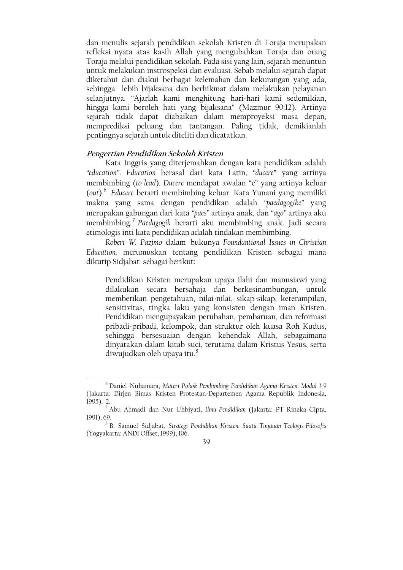dan menulis sejarah pendidikan sekolah Kristen di Toraja merupakan refleksi nyata atas kasih Allah yang mengubahkan Toraja dan orang Toraja melalui pendidikan sekolah. Pada sisi yang lain, sejarah menuntun untuk melakukan instrospeksi dan evaluasi. Sebab melalui sejarah dapat diketahui dan diakui berbagai kelemahan dan kekurangan yang ada, sehingga lebih bijaksana dan berhikmat dalam melakukan pelayanan selanjutnya. "Ajarlah kami menghitung hari-hari kami sedemikian, hingga kami beroleh hati yang bijaksana" (Mazmur 90:12). Artinya sejarah tidak dapat diabaikan dalam memproyeksi masa depan, memprediksi peluang dan tantangan. Paling tidak, demikianlah pentingnya sejarah untuk diteliti dan dicatatkan.

# Pengertian Pendidikan Sekolah Kristen

Kata Inggris yang diterjemahkan dengan kata pendidikan adalah "education". Education berasal dari kata Latin, "ducere" yang artinya membimbing (to lead). Ducere mendapat awalan "e" yang artinya keluar (out).<sup>6</sup> Educere berarti membimbing keluar. Kata Yunani yang memiliki makna yang sama dengan pendidikan adalah "paedagogike" yang merupakan gabungan dari kata "paes" artinya anak, dan "ago" artinya aku membimbing.<sup>7</sup> Paedagogik berarti aku membimbing anak. Jadi secara etimologis inti kata pendidikan adalah tindakan membimbing.

Robert W. Pazimo dalam bukunya Foundantional Issues in Christian Education, merumuskan tentang pendidikan Kristen sebagai mana dikutip Sidjabat sebagai berikut:

Pendidikan Kristen merupakan upaya ilahi dan manusiawi yang dilakukan secara bersahaja dan berkesinambungan, untuk memberikan pengetahuan, nilai-nilai, sikap-sikap, keterampilan, sensitivitas, tingka laku yang konsisten dengan iman Kristen. Pendidikan mengupayakan perubahan, pembaruan, dan reformasi pribadi-pribadi, kelompok, dan struktur oleh kuasa Roh Kudus, sehingga bersesuaian dengan kehendak Allah, sebagaimana dinyatakan dalam kitab suci, terutama dalam Kristus Yesus, serta diwujudkan oleh upaya itu.<sup>8</sup>

<sup>&</sup>lt;sup>8</sup> B. Samuel Sidjabat, Strategi Pendidikan Kristen: Suatu Tinjauan Teologis-Filosofis (Yogyakarta: ANDI Offset, 1999), 106.



<sup>&</sup>lt;sup>6</sup> Daniel Nuhamara, Materi Pokok Pembimbing Pendidikan Agama Kristen; Modul 1-9 (Jakarta: Dirjen Bimas Kristen Protestan-Departemen Agama Republik Indonesia,  $1995$ ), 2

<sup>7</sup> Abu Ahmadi dan Nur Uhbiyati, Ilmu Pendidikan (Jakarta: PT Rineka Cipta, 1991), 69.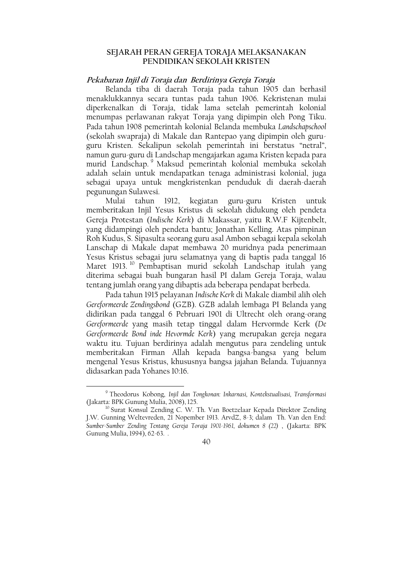# SEJARAH PERAN GEREJA TORAJA MELAKSANAKAN PENDIDIKAN SEKOLAH KRISTEN

### Pekabaran Injil di Toraja dan Berdirinya Gereja Toraja

Belanda tiba di daerah Toraja pada tahun 1905 dan berhasil menaklukkannya secara tuntas pada tahun 1906. Kekristenan mulai diperkenalkan di Toraja, tidak lama setelah pemerintah kolonial menumpas perlawanan rakyat Toraja yang dipimpin oleh Pong Tiku. Pada tahun 1908 pemerintah kolonial Belanda membuka Landschapschool (sekolah swapraja) di Makale dan Rantepao yang dipimpin oleh guruguru Kristen. Sekalipun sekolah pemerintah ini berstatus "netral", namun guru-guru di Landschap mengajarkan agama Kristen kepada para murid Landschap. Maksud pemerintah kolonial membuka sekolah adalah selain untuk mendapatkan tenaga administrasi kolonial, juga sebagai upaya untuk mengkristenkan penduduk di daerah-daerah pegunungan Sulawesi.

Mulai tahun 1912, kegiatan guru-guru Kristen untuk memberitakan Injil Yesus Kristus di sekolah didukung oleh pendeta Gereja Protestan (Indische Kerk) di Makassar, yaitu R.W.F Kijtenbelt, yang didampingi oleh pendeta bantu; Jonathan Kelling. Atas pimpinan Roh Kudus, S. Sipasulta seorang guru asal Ambon sebagai kepala sekolah Lanschap di Makale dapat membawa 20 muridnya pada penerimaan Yesus Kristus sebagai juru selamatnya yang di baptis pada tanggal 16 Maret 1913.<sup>10</sup> Pembaptisan murid sekolah Landschap itulah yang diterima sebagai buah bungaran hasil PI dalam Gereja Toraja, walau tentang jumlah orang yang dibaptis ada beberapa pendapat berbeda.

Pada tahun 1915 pelayanan Indische Kerk di Makale diambil alih oleh Gereformeerde Zendingsbond (GZB). GZB adalah lembaga PI Belanda yang didirikan pada tanggal 6 Pebruari 1901 di Ultrecht oleh orang-orang Gereformeerde yang masih tetap tinggal dalam Hervormde Kerk (De Gereformeerde Bond inde Hevormde Kerk) yang merupakan gereja negara waktu itu. Tujuan berdirinya adalah mengutus para zendeling untuk memberitakan Firman Allah kepada bangsa-bangsa yang belum mengenal Yesus Kristus, khususnya bangsa jajahan Belanda. Tujuannya didasarkan pada Yohanes 10:16.

<sup>&</sup>lt;sup>9</sup> Theodorus Kobong, Injil dan Tongkonan: Inkarnasi, Kontekstualisasi, Transformasi (Jakarta: BPK Gunung Mulia, 2008), 125.

<sup>&</sup>lt;sup>10</sup> Surat Konsul Zending C. W. Th. Van Boetzelaar Kepada Direktor Zending J.W. Gunning Weltevreden, 21 Nopember 1913. ArvdZ, 8-3; dalam Th. Van den End: Sumber-Sumber Zending Tentang Gereja Toraja 1901-1961, dokumen 8 (22), (Jakarta: BPK Gunung Mulia, 1994), 62-63.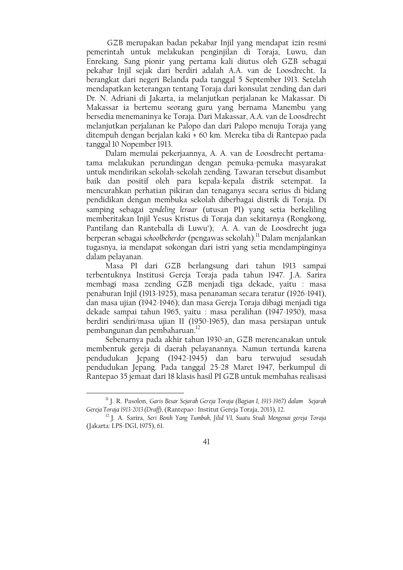GZB merupakan badan pekabar Injil yang mendapat izin resmi pemerintah untuk melakukan penginjilan di Toraja, Luwu, dan Enrekang. Sang pionir yang pertama kali diutus oleh GZB sebagai pekabar Injil sejak dari berdiri adalah A.A. van de Loosdrecht. Ia berangkat dari negeri Belanda pada tanggal 5 September 1913. Setelah mendapatkan keterangan tentang Toraja dari konsulat zending dan dari Dr. N. Adriani di Jakarta, ia melanjutkan perjalanan ke Makassar. Di Makassar ia bertemu seorang guru yang bernama Manembu yang bersedia menemaninya ke Toraja. Dari Makassar, A.A. van de Loosdrecht melanjutkan perjalanan ke Palopo dan dari Palopo menuju Toraja yang ditempuh dengan berjalan kaki ± 60 km. Mereka tiba di Rantepao pada tanggal 10 Nopember 1913.

Dalam memulai pekerjaannya, A. A. van de Loosdrecht pertamatama melakukan perundingan dengan pemuka-pemuka masyarakat untuk mendirikan sekolah-sekolah zending. Tawaran tersebut disambut baik dan positif oleh para kepala-kepala distrik setempat. Ia mencurahkan perhatian pikiran dan tenaganya secara serius di bidang pendidikan dengan membuka sekolah diberbagai distrik di Toraja. Di samping sebagai zendeling leraar (utusan PI) yang setia berkeliling memberitakan Injil Yesus Kristus di Toraja dan sekitarnya (Rongkong, Pantilang dan Ranteballa di Luwu'); A. A. van de Loosdrecht juga berperan sebagai schoolbeherder (pengawas sekolah).<sup>11</sup> Dalam menjalankan tugasnya, ia mendapat sokongan dari istri yang setia mendampinginya dalam pelayanan.

Masa PI dari GZB berlangsung dari tahun 1913 sampai terbentuknya Institusi Gereja Toraja pada tahun 1947. J.A. Sarira membagi masa zending GZB menjadi tiga dekade, yaitu : masa penaburan Injil (1913-1925), masa penanaman secara teratur (1926-1941), dan masa ujian (1942-1946); dan masa Gereja Toraja dibagi menjadi tiga dekade sampai tahun 1965, yaitu : masa peralihan (1947-1950), masa berdiri sendiri/masa ujian II (1950-1965), dan masa persiapan untuk pembangunan dan pembaharuan.<sup>12</sup>

Sebenarnya pada akhir tahun 1930-an, GZB merencanakan untuk membentuk gereja di daerah pelayanannya. Namun tertunda karena pendudukan Jepang (1942-1945) dan baru terwujud sesudah pendudukan Jepang. Pada tanggal 25-28 Maret 1947, berkumpul di Rantepao 35 jemaat dari 18 klasis hasil PI GZB untuk membahas realisasi

<sup>&</sup>lt;sup>11</sup> J. R. Pasolon, Garis Besar Sejarah Gereja Toraja (Bagian I, 1913-1967) dalam Sejarah Gereja Toraja 1913-2013 (Draff), (Rantepao: Institut Gereja Toraja, 2013), 12.

<sup>&</sup>lt;sup>12</sup> J. A. Sarira, Seri Benih Yang Tumbuh, Jilid VI, Suatu Studi Mengenai gereja Toraja (Jakarta: LPS-DGI, 1975), 61.

<sup>41</sup>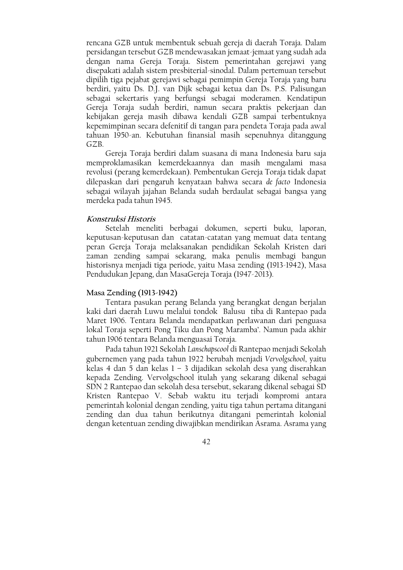rencana GZB untuk membentuk sebuah gereja di daerah Toraja. Dalam persidangan tersebut GZB mendewasakan jemaat-jemaat yang sudah ada dengan nama Gereja Toraja. Sistem pemerintahan gerejawi yang disepakati adalah sistem presbiterial-sinodal. Dalam pertemuan tersebut dipilih tiga pejabat gerejawi sebagai pemimpin Gereja Toraja yang baru berdiri, yaitu Ds. D.J. van Dijk sebagai ketua dan Ds. P.S. Palisungan sebagai sekertaris yang berfungsi sebagai moderamen. Kendatipun Gereja Toraja sudah berdiri, namun secara praktis pekerjaan dan kebijakan gereja masih dibawa kendali GZB sampai terbentuknya kepemimpinan secara defenitif di tangan para pendeta Toraja pada awal tahuan 1950-an. Kebutuhan finansial masih sepenuhnya ditanggung GZB.

Gereja Toraja berdiri dalam suasana di mana Indonesia baru saja memproklamasikan kemerdekaannya dan masih mengalami masa revolusi (perang kemerdekaan). Pembentukan Gereja Toraja tidak dapat dilepaskan dari pengaruh kenyataan bahwa secara de facto Indonesia sebagai wilayah jajahan Belanda sudah berdaulat sebagai bangsa yang merdeka pada tahun 1945.

# Konstruksi Historis

Setelah meneliti berbagai dokumen, seperti buku, laporan, keputusan-keputusan dan catatan-catatan yang memuat data tentang peran Gereja Toraja melaksanakan pendidikan Sekolah Kristen dari zaman zending sampai sekarang, maka penulis membagi bangun historisnya menjadi tiga periode, yaitu Masa zending (1913-1942), Masa Pendudukan Jepang, dan MasaGereja Toraja (1947-2013).

### Masa Zending (1913-1942)

Tentara pasukan perang Belanda yang berangkat dengan berjalan kaki dari daerah Luwu melalui tondok Balusu tiba di Rantepao pada Maret 1906. Tentara Belanda mendapatkan perlawanan dari penguasa lokal Toraja seperti Pong Tiku dan Pong Maramba'. Namun pada akhir tahun 1906 tentara Belanda menguasai Toraja.

Pada tahun 1921 Sekolah Lanschapscool di Rantepao menjadi Sekolah gubernemen yang pada tahun 1922 berubah menjadi Vervolgschool, yaitu kelas 4 dan 5 dan kelas 1 - 3 dijadikan sekolah desa yang diserahkan kepada Zending. Vervolgschool itulah yang sekarang dikenal sebagai SDN 2 Rantepao dan sekolah desa tersebut, sekarang dikenal sebagai SD Kristen Rantepao V. Sebab waktu itu terjadi kompromi antara pemerintah kolonial dengan zending, yaitu tiga tahun pertama ditangani zending dan dua tahun berikutnya ditangani pemerintah kolonial dengan ketentuan zending diwajibkan mendirikan Asrama. Asrama yang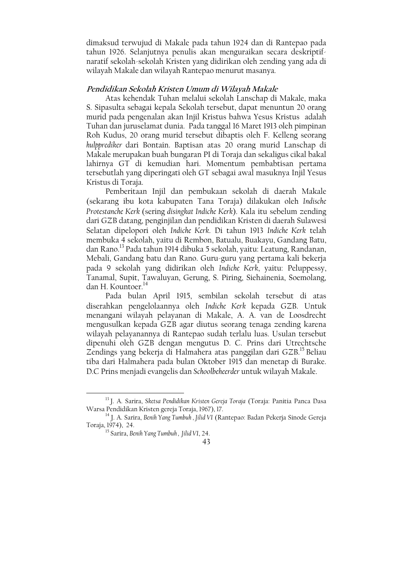dimaksud terwujud di Makale pada tahun 1924 dan di Rantepao pada tahun 1926. Selanjutnya penulis akan menguraikan secara deskriptifnaratif sekolah-sekolah Kristen yang didirikan oleh zending yang ada di wilayah Makale dan wilayah Rantepao menurut masanya.

# Pendidikan Sekolah Kristen Umum di Wilayah Makale

Atas kehendak Tuhan melalui sekolah Lanschap di Makale, maka S. Sipasulta sebagai kepala Sekolah tersebut, dapat menuntun 20 orang murid pada pengenalan akan Injil Kristus bahwa Yesus Kristus adalah Tuhan dan juruselamat dunia. Pada tanggal 16 Maret 1913 oleh pimpinan Roh Kudus, 20 orang murid tersebut dibaptis oleh F. Kelleng seorang hulpprediker dari Bontain. Baptisan atas 20 orang murid Lanschap di Makale merupakan buah bungaran PI di Toraja dan sekaligus cikal bakal lahirnya GT di kemudian hari. Momentum pembabtisan pertama tersebutlah yang diperingati oleh GT sebagai awal masuknya Injil Yesus Kristus di Toraja.

Pemberitaan Injil dan pembukaan sekolah di daerah Makale (sekarang ibu kota kabupaten Tana Toraja) dilakukan oleh Indische Protestanche Kerk (sering disingkat Indiche Kerk). Kala itu sebelum zending dari GZB datang, penginjilan dan pendidikan Kristen di daerah Sulawesi Selatan dipelopori oleh Indiche Kerk. Di tahun 1913 Indiche Kerk telah membuka 4 sekolah, yaitu di Rembon, Batualu, Buakayu, Gandang Batu, dan Rano.<sup>13</sup> Pada tahun 1914 dibuka 5 sekolah, yaitu: Leatung, Randanan, Mebali, Gandang batu dan Rano. Guru-guru yang pertama kali bekerja pada 9 sekolah yang didirikan oleh Indiche Kerk, yaitu: Peluppessy, Tanamal, Supit, Tawaluyan, Gerung, S. Piring, Siehainenia, Soemolang, dan H. Kountoer.<sup>14</sup>

Pada bulan April 1915, sembilan sekolah tersebut di atas diserahkan pengelolaannya oleh Indiche Kerk kepada GZB. Untuk menangani wilayah pelayanan di Makale, A. A. yan de Loosdrecht mengusulkan kepada GZB agar diutus seorang tenaga zending karena wilayah pelayanannya di Rantepao sudah terlalu luas. Usulan tersebut dipenuhi oleh GZB dengan mengutus D. C. Prins dari Utrechtsche Zendings yang bekerja di Halmahera atas panggilan dari GZB.<sup>15</sup> Beliau tiba dari Halmahera pada bulan Oktober 1915 dan menetap di Burake. D.C Prins menjadi evangelis dan Schoolbeheerder untuk wilayah Makale.

<sup>&</sup>lt;sup>13</sup> J. A. Sarira, Sketsa Pendidikan Kristen Gereja Toraja (Toraja: Panitia Panca Dasa Warsa Pendidikan Kristen gereja Toraja, 1967), 17.

<sup>&</sup>lt;sup>14</sup> J. A. Sarira, Benih Yang Tumbuh, Jilid VI (Rantepao: Badan Pekerja Sinode Gereja Toraja, 1974), 24.

<sup>&</sup>lt;sup>15</sup> Sarira, Benih Yang Tumbuh, Jilid VI, 24.

<sup>43</sup>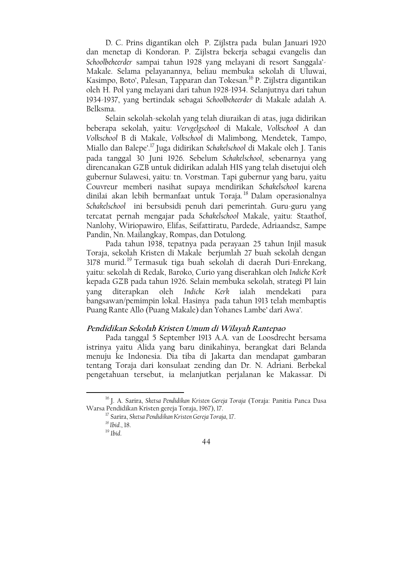D. C. Prins digantikan oleh P. Zijlstra pada bulan Januari 1920 dan menetap di Kondoran. P. Zijlstra bekerja sebagai evangelis dan Schoolbeheerder sampai tahun 1928 yang melayani di resort Sanggala' Makale. Selama pelayanannya, beliau membuka sekolah di Uluwai, Kasimpo, Boto', Palesan, Tapparan dan Tokesan.<sup>16</sup> P. Zijlstra digantikan oleh H. Pol yang melayani dari tahun 1928-1934. Selanjutnya dari tahun 1934-1937, yang bertindak sebagai Schoolbeheerder di Makale adalah A. Belksma.

Selain sekolah-sekolah yang telah diuraikan di atas, juga didirikan beberapa sekolah, yaitu: Vervgelgschool di Makale, Volkschool A dan Volkschool B di Makale, Volkschool di Malimbong, Mendetek, Tampo, Miallo dan Balepe'.<sup>17</sup> Juga didirikan Schakelschool di Makale oleh J. Tanis pada tanggal 30 Juni 1926. Sebelum Schakelschool, sebenarnya yang direncanakan GZB untuk didirikan adalah HIS yang telah disetujui oleh gubernur Sulawesi, yaitu: tn. Vorstman. Tapi gubernur yang baru, yaitu Couvreur memberi nasihat supaya mendirikan Schakelschool karena dinilai akan lebih bermanfaat untuk Toraja.<sup>18</sup> Dalam operasionalnya Schakelschool ini bersubsidi penuh dari pemerintah. Guru-guru yang tercatat pernah mengajar pada Schakelschool Makale, vaitu: Staathof, Nanlohy, Wiriopawiro, Elifas, Seifattiratu, Pardede, Adriaandsz, Sampe Pandin, Nn. Mailangkay, Rompas, dan Dotulong.

Pada tahun 1938, tepatnya pada perayaan 25 tahun Injil masuk Toraja, sekolah Kristen di Makale berjumlah 27 buah sekolah dengan 3178 murid.<sup>19</sup> Termasuk tiga buah sekolah di daerah Duri-Enrekang, yaitu: sekolah di Redak, Baroko, Curio yang diserahkan oleh Indiche Kerk kepada GZB pada tahun 1926. Selain membuka sekolah, strategi PI lain diterapkan oleh Indiche Kerk ialah vang mendekati para bangsawan/pemimpin lokal. Hasinya pada tahun 1913 telah membaptis Puang Rante Allo (Puang Makale) dan Yohanes Lambe' dari Awa'.

# Pendidikan Sekolah Kristen Umum di Wilayah Rantepao

Pada tanggal 5 September 1913 A.A. van de Loosdrecht bersama istrinya yaitu Alida yang baru dinikahinya, berangkat dari Belanda menuju ke Indonesia. Dia tiba di Jakarta dan mendapat gambaran tentang Toraja dari konsulaat zending dan Dr. N. Adriani. Berbekal pengetahuan tersebut, ia melanjutkan perjalanan ke Makassar. Di

<sup>&</sup>lt;sup>16</sup> J. A. Sarira, Sketsa Pendidikan Kristen Gereja Toraja (Toraja: Panitia Panca Dasa Warsa Pendidikan Kristen gereja Toraja, 1967), 17.

<sup>&</sup>lt;sup>17</sup> Sarira, Sketsa Pendidikan Kristen Gereja Toraja, 17.

 $^{18}$  Ibid., 18.

 $19$  Ibid.

<sup>44</sup>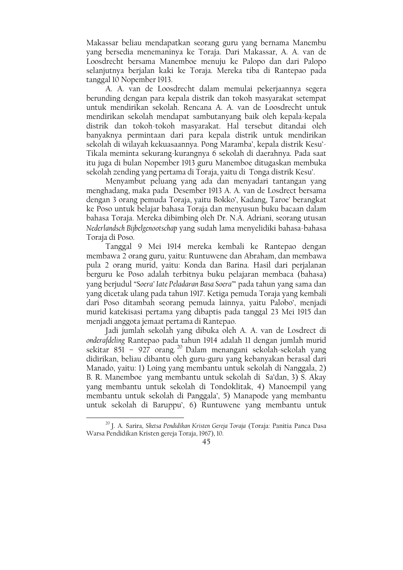Makassar beliau mendapatkan seorang guru yang bernama Manembu yang bersedia menemaninya ke Toraja. Dari Makassar, A. A. van de Loosdrecht bersama Manemboe menuju ke Palopo dan dari Palopo selanjutnya berjalan kaki ke Toraja. Mereka tiba di Rantepao pada tanggal 10 Nopember 1913.

A. A. van de Loosdrecht dalam memulai pekerjaannya segera berunding dengan para kepala distrik dan tokoh masyarakat setempat untuk mendirikan sekolah. Rencana A. A. van de Loosdrecht untuk mendirikan sekolah mendapat sambutanyang baik oleh kepala-kepala distrik dan tokoh-tokoh masyarakat. Hal tersebut ditandai oleh banyaknya permintaan dari para kepala distrik untuk mendirikan sekolah di wilayah kekuasaannya. Pong Maramba', kepala distrik Kesu'-Tikala meminta sekurang-kurangnya 6 sekolah di daerahnya. Pada saat itu juga di bulan Nopember 1913 guru Manemboe ditugaskan membuka sekolah zending yang pertama di Toraja, yaitu di Tonga distrik Kesu'.

Menyambut peluang yang ada dan menyadari tantangan yang menghadang, maka pada Desember 1913 A. A. van de Losdrect bersama dengan 3 orang pemuda Toraja, yaitu Bokko', Kadang, Taroe' berangkat ke Poso untuk belajar bahasa Toraja dan menyusun buku bacaan dalam bahasa Toraja. Mereka dibimbing oleh Dr. N.A. Adriani, seorang utusan Nederlandsch Bijbelgenootschap vang sudah lama menvelidiki bahasa-bahasa Toraja di Poso.

Tanggal 9 Mei 1914 mereka kembali ke Rantepao dengan membawa 2 orang guru, yaitu: Runtuwene dan Abraham, dan membawa pula 2 orang murid, yaitu: Konda dan Barina. Hasil dari perjalanan berguru ke Poso adalah terbitnya buku pelajaran membaca (bahasa) yang berjudul "Soera' Iate Peladaran Basa Soera" pada tahun yang sama dan yang dicetak ulang pada tahun 1917. Ketiga pemuda Toraja yang kembali dari Poso ditambah seorang pemuda lainnya, yaitu Palobo', menjadi murid katekisasi pertama yang dibaptis pada tanggal 23 Mei 1915 dan menjadi anggota jemaat pertama di Rantepao.

Jadi jumlah sekolah yang dibuka oleh A. A. van de Losdrect di onderafdeling Rantepao pada tahun 1914 adalah 11 dengan jumlah murid sekitar 851 - 927 orang.<sup>20</sup> Dalam menangani sekolah-sekolah yang didirikan, beliau dibantu oleh guru-guru yang kebanyakan berasal dari Manado, yaitu: 1) Loing yang membantu untuk sekolah di Nanggala, 2) B. R. Manemboe yang membantu untuk sekolah di Sa'dan, 3) S. Akay yang membantu untuk sekolah di Tondoklitak, 4) Manoempil yang membantu untuk sekolah di Panggala', 5) Manapode yang membantu untuk sekolah di Baruppu', 6) Runtuwene yang membantu untuk

<sup>&</sup>lt;sup>20</sup> J. A. Sarira, Sketsa Pendidikan Kristen Gereja Toraja (Toraja: Panitia Panca Dasa Warsa Pendidikan Kristen gereja Toraja, 1967), 10.

<sup>45</sup>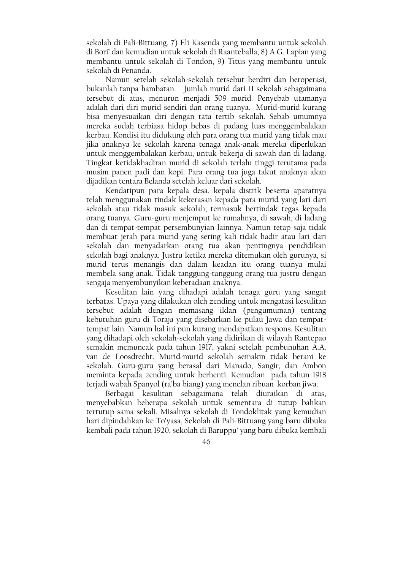sekolah di Pali-Bittuang, 7) Eli Kasenda yang membantu untuk sekolah di Bori' dan kemudian untuk sekolah di Raanteballa, 8) A.G. Lapian yang membantu untuk sekolah di Tondon, 9) Titus yang membantu untuk sekolah di Penanda.

Namun setelah sekolah-sekolah tersebut berdiri dan beroperasi. bukanlah tanpa hambatan. Jumlah murid dari 11 sekolah sebagaimana tersebut di atas, menurun menjadi 509 murid. Penyebab utamanya adalah dari diri murid sendiri dan orang tuanya. Murid-murid kurang bisa menyesuaikan diri dengan tata tertib sekolah. Sebab umumnya mereka sudah terbiasa hidup bebas di padang luas menggembalakan kerbau. Kondisi itu didukung oleh para orang tua murid yang tidak mau jika anaknya ke sekolah karena tenaga anak-anak mereka diperlukan untuk menggembalakan kerbau, untuk bekerja di sawah dan di ladang. Tingkat ketidakhadiran murid di sekolah terlalu tinggi terutama pada musim panen padi dan kopi. Para orang tua juga takut anaknya akan dijadikan tentara Belanda setelah keluar dari sekolah.

Kendatipun para kepala desa, kepala distrik beserta aparatnya telah menggunakan tindak kekerasan kepada para murid yang lari dari sekolah atau tidak masuk sekolah; termasuk bertindak tegas kepada orang tuanya. Guru-guru menjemput ke rumahnya, di sawah, di ladang dan di tempat-tempat persembunyian lainnya. Namun tetap saja tidak membuat jerah para murid yang sering kali tidak hadir atau lari dari sekolah dan menyadarkan orang tua akan pentingnya pendidikan sekolah bagi anaknya. Justru ketika mereka ditemukan oleh gurunya, si murid terus menangis dan dalam keadan itu orang tuanya mulai membela sang anak. Tidak tanggung-tanggung orang tua justru dengan sengaja menyembunyikan keberadaan anaknya.

Kesulitan lain yang dihadapi adalah tenaga guru yang sangat terbatas. Upaya yang dilakukan oleh zending untuk mengatasi kesulitan tersebut adalah dengan memasang iklan (pengumuman) tentang kebutuhan guru di Toraja yang disebarkan ke pulau Jawa dan tempattempat lain. Namun hal ini pun kurang mendapatkan respons. Kesulitan yang dihadapi oleh sekolah-sekolah yang didirikan di wilayah Rantepao semakin memuncak pada tahun 1917, yakni setelah pembunuhan A.A. van de Loosdrecht. Murid-murid sekolah semakin tidak berani ke sekolah. Guru-guru yang berasal dari Manado, Sangir, dan Ambon meminta kepada zending untuk berhenti. Kemudian pada tahun 1918 terjadi wabah Spanyol (ra'ba biang) yang menelan ribuan korban jiwa.

Berbagai kesulitan sebagaimana telah diuraikan di atas, menyebabkan beberapa sekolah untuk sementara di tutup bahkan tertutup sama sekali. Misalnya sekolah di Tondoklitak yang kemudian hari dipindahkan ke To'yasa, Sekolah di Pali-Bittuang yang baru dibuka kembali pada tahun 1920, sekolah di Baruppu' yang baru dibuka kembali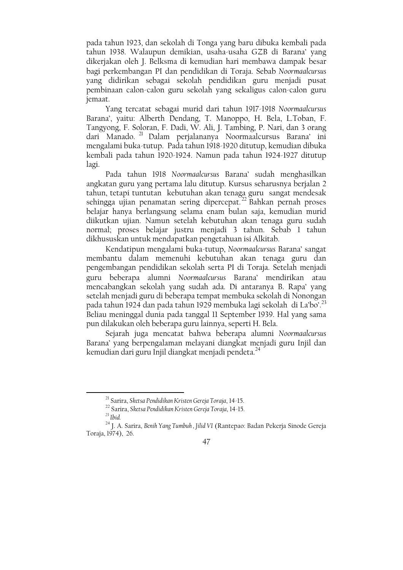pada tahun 1923, dan sekolah di Tonga yang baru dibuka kembali pada tahun 1938. Walaupun demikian, usaha-usaha GZB di Barana' yang dikerjakan oleh J. Belksma di kemudian hari membawa dampak besar bagi perkembangan PI dan pendidikan di Toraja. Sebab Noormaalcursus yang didirikan sebagai sekolah pendidikan guru menjadi pusat pembinaan calon-calon guru sekolah yang sekaligus calon-calon guru jemaat.

Yang tercatat sebagai murid dari tahun 1917-1918 Noormaalcursus Barana', yaitu: Alberth Dendang, T. Manoppo, H. Bela, L.Toban, F. Tangyong, F. Soloran, F. Dadi, W. Ali, J. Tambing, P. Nari, dan 3 orang dari Manado.<sup>21</sup> Dalam perjalananya Noormaalcursus Barana' ini mengalami buka-tutup. Pada tahun 1918-1920 ditutup, kemudian dibuka kembali pada tahun 1920-1924. Namun pada tahun 1924-1927 ditutup lagi.

Pada tahun 1918 Noormaalcursus Barana' sudah menghasilkan angkatan guru yang pertama lalu ditutup. Kursus seharusnya berjalan 2 tahun, tetapi tuntutan kebutuhan akan tenaga guru sangat mendesak sehingga ujian penamatan sering dipercepat.<sup>22</sup> Bahkan pernah proses belajar hanya berlangsung selama enam bulan saja, kemudian murid diikutkan ujian. Namun setelah kebutuhan akan tenaga guru sudah normal; proses belajar justru menjadi 3 tahun. Sebab 1 tahun dikhususkan untuk mendapatkan pengetahuan isi Alkitab.

Kendatipun mengalami buka-tutup, Noormaalcursus Barana' sangat membantu dalam memenuhi kebutuhan akan tenaga guru dan pengembangan pendidikan sekolah serta PI di Toraja. Setelah menjadi guru beberapa alumni Noormaalcursus Barana' mendirikan atau mencabangkan sekolah yang sudah ada. Di antaranya B. Rapa' yang setelah menjadi guru di beberapa tempat membuka sekolah di Nonongan pada tahun 1924 dan pada tahun 1929 membuka lagi sekolah di La'bo'.<sup>23</sup> Beliau meninggal dunia pada tanggal 11 September 1939. Hal yang sama pun dilakukan oleh beberapa guru lainnya, seperti H. Bela.

Sejarah juga mencatat bahwa beberapa alumni Noormaalcursus Barana' yang berpengalaman melayani diangkat menjadi guru Injil dan kemudian dari guru Injil diangkat menjadi pendeta.<sup>24</sup>

<sup>&</sup>lt;sup>21</sup> Sarira, Sketsa Pendidikan Kristen Gereja Toraja, 14-15.

<sup>&</sup>lt;sup>22</sup> Sarira, Sketsa Pendidikan Kristen Gereja Toraja, 14-15.

 $^{23}$  Ibid.

<sup>&</sup>lt;sup>24</sup> I. A. Sarira, Benih Yang Tumbuh, Jilid VI (Rantepao: Badan Pekerja Sinode Gereja Toraja, 1974), 26.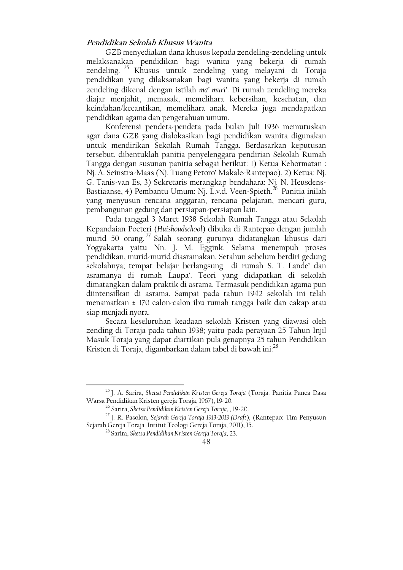# Pendidikan Sekolah Khusus Wanita

GZB menyediakan dana khusus kepada zendeling-zendeling untuk melaksanakan pendidikan bagi wanita yang bekerja di rumah zendeling. <sup>25</sup> Khusus untuk zendeling yang melayani di Toraja pendidikan yang dilaksanakan bagi wanita yang bekerja di rumah zendeling dikenal dengan istilah ma' muri'. Di rumah zendeling mereka diajar menjahit, memasak, memelihara kebersihan, kesehatan, dan keindahan/kecantikan, memelihara anak. Mereka juga mendapatkan pendidikan agama dan pengetahuan umum.

Konferensi pendeta-pendeta pada bulan Juli 1936 memutuskan agar dana GZB yang dialokasikan bagi pendidikan wanita digunakan untuk mendirikan Sekolah Rumah Tangga. Berdasarkan keputusan tersebut, dibentuklah panitia penyelenggara pendirian Sekolah Rumah Tangga dengan susunan panitia sebagai berikut: 1) Ketua Kehormatan : Nj. A. Seinstra-Maas (Nj. Tuang Petoro' Makale-Rantepao), 2) Ketua: Nj. G. Tanis-van Es, 3) Sekretaris merangkap bendahara. Nj. N. Heusdens-Bastiaanse, 4) Pembantu Umum: Nj. L.v.d. Veen-Spieth.<sup>26</sup> Panitia inilah yang menyusun rencana anggaran, rencana pelajaran, mencari guru, pembangunan gedung dan persiapan-persiapan lain.

Pada tanggal 3 Maret 1938 Sekolah Rumah Tangga atau Sekolah Kepandaian Poeteri (Huishoudschool) dibuka di Rantepao dengan jumlah murid 50 orang.<sup>27</sup> Salah seorang gurunya didatangkan khusus dari<br>Yogyakarta yaitu Nn. J. M. Eggink. Selama menempuh proses pendidikan, murid-murid diasramakan. Setahun sebelum berdiri gedung sekolahnya; tempat belajar berlangsung di rumah S. T. Lande' dan asramanya di rumah Laupa'. Teori yang didapatkan di sekolah dimatangkan dalam praktik di asrama. Termasuk pendidikan agama pun diintensifkan di asrama. Sampai pada tahun 1942 sekolah ini telah menamatkan ± 170 calon-calon ibu rumah tangga baik dan cakap atau siap menjadi nyora.

Secara keseluruhan keadaan sekolah Kristen yang diawasi oleh zending di Toraja pada tahun 1938; vaitu pada peravaan 25 Tahun Injil Masuk Toraja yang dapat diartikan pula genapnya 25 tahun Pendidikan Kristen di Toraja, digambarkan dalam tabel di bawah ini:<sup>28</sup>

<sup>&</sup>lt;sup>25</sup> J. A. Sarira, Sketsa Pendidikan Kristen Gereja Toraja (Toraja: Panitia Panca Dasa Warsa Pendidikan Kristen gereja Toraja, 1967), 19-20.

<sup>&</sup>lt;sup>26</sup> Sarira, Sketsa Pendidikan Kristen Gereja Toraja, , 19-20.

<sup>&</sup>lt;sup>27</sup> J. R. Pasolon, Sejarah Gereja Toraja 1913-2013 (Draft), (Rantepao: Tim Penyusun Sejarah Gereja Toraja Intitut Teologi Gereja Toraja, 2011), 15.

<sup>&</sup>lt;sup>28</sup> Sarira, Sketsa Pendidikan Kristen Gereja Toraja, 23.

<sup>48</sup>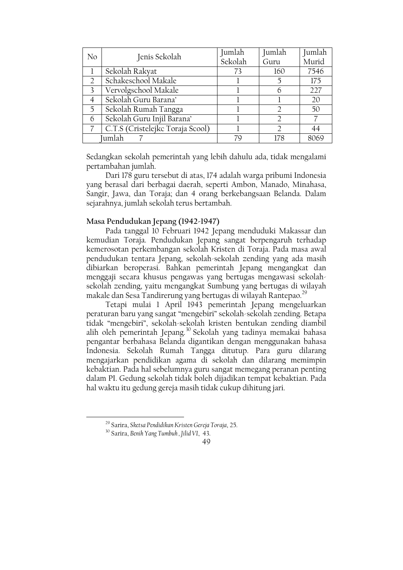| No            | Jenis Sekolah                    | Jumlah  | Jumlah | Jumlah |
|---------------|----------------------------------|---------|--------|--------|
|               |                                  | Sekolah | Guru   | Murid  |
|               | Sekolah Rakyat                   | 73      | 160    | 7546   |
| $\mathcal{D}$ | Schakeschool Makale              |         |        | 175    |
| $\mathcal{Z}$ | Vervolgschool Makale             |         |        | 227    |
|               | Sekolah Guru Barana'             |         |        | 20     |
| 5             | Sekolah Rumah Tangga             |         |        | 50     |
| 6             | Sekolah Guru Injil Barana'       |         |        |        |
|               | C.T.S (Cristelejkc Toraja Scool) |         |        | 44     |
|               | umlah                            |         | 178    | 8069   |

Sedangkan sekolah pemerintah yang lebih dahulu ada, tidak mengalami pertambahan jumlah.

Dari 178 guru tersebut di atas, 174 adalah warga pribumi Indonesia yang berasal dari berbagai daerah, seperti Ambon, Manado, Minahasa, Sangir, Jawa, dan Toraja; dan 4 orang berkebangsaan Belanda. Dalam sejarahnya, jumlah sekolah terus bertambah.

# Masa Pendudukan Jepang (1942-1947)

Pada tanggal 10 Februari 1942 Jepang menduduki Makassar dan kemudian Toraja. Pendudukan Jepang sangat berpengaruh terhadap kemerosotan perkembangan sekolah Kristen di Toraja. Pada masa awal pendudukan tentara Jepang, sekolah-sekolah zending yang ada masih dibiarkan beroperasi. Bahkan pemerintah Jepang mengangkat dan menggaji secara khusus pengawas yang bertugas mengawasi sekolahsekolah zending, yaitu mengangkat Sumbung yang bertugas di wilayah makale dan Sesa Tandirerung yang bertugas di wilayah Rantepao.<sup>29</sup>

Tetapi mulai 1 April 1943 pemerintah Jepang mengeluarkan peraturan baru yang sangat "mengebiri" sekolah-sekolah zending. Betapa tidak "mengebiri", sekolah-sekolah kristen bentukan zending diambil alih oleh pemerintah Jepang.<sup>30</sup> Sekolah yang tadinya memakai bahasa pengantar berbahasa Belanda digantikan dengan menggunakan bahasa Indonesia. Sekolah Rumah Tangga ditutup. Para guru dilarang mengajarkan pendidikan agama di sekolah dan dilarang memimpin kebaktian. Pada hal sebelumnya guru sangat memegang peranan penting dalam PI. Gedung sekolah tidak boleh dijadikan tempat kebaktian. Pada hal waktu itu gedung gereja masih tidak cukup dihitung jari.

<sup>&</sup>lt;sup>29</sup> Sarira, Sketsa Pendidikan Kristen Gereja Toraja, 25.

<sup>&</sup>lt;sup>30</sup> Sarira, Benih Yang Tumbuh, Jilid VI, 43.

<sup>49</sup>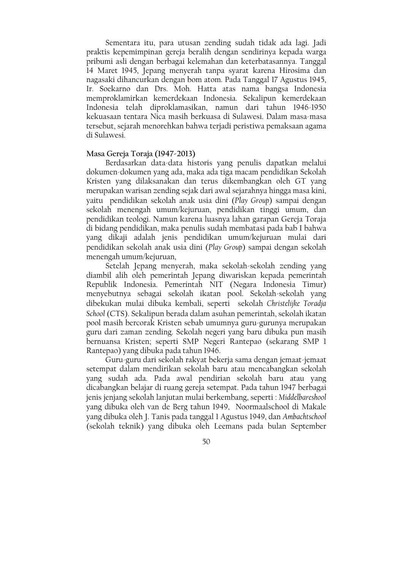Sementara itu, para utusan zending sudah tidak ada lagi. Jadi praktis kepemimpinan gereja beralih dengan sendirinya kepada warga pribumi asli dengan berbagai kelemahan dan keterbatasannya. Tanggal 14 Maret 1945, Jepang menyerah tanpa syarat karena Hirosima dan nagasaki dihancurkan dengan bom atom. Pada Tanggal 17 Agustus 1945, Ir. Soekarno dan Drs. Moh. Hatta atas nama bangsa Indonesia memproklamirkan kemerdekaan Indonesia. Sekalipun kemerdekaan Indonesia telah diproklamasikan, namun dari tahun 1946-1950 kekuasaan tentara Nica masih berkuasa di Sulawesi. Dalam masa-masa tersebut, sejarah menorehkan bahwa terjadi peristiwa pemaksaan agama di Sulawesi.

### Masa Gereja Toraja (1947-2013)

Berdasarkan data-data historis yang penulis dapatkan melalui dokumen-dokumen yang ada, maka ada tiga macam pendidikan Sekolah Kristen yang dilaksanakan dan terus dikembangkan oleh GT yang merupakan warisan zending sejak dari awal sejarahnya hingga masa kini, yaitu pendidikan sekolah anak usia dini (Play Group) sampai dengan sekolah menengah umum/kejuruan, pendidikan tinggi umum, dan pendidikan teologi. Namun karena luasnya lahan garapan Gereja Toraja di bidang pendidikan, maka penulis sudah membatasi pada bab I bahwa yang dikaji adalah jenis pendidikan umum/kejuruan mulai dari pendidikan sekolah anak usia dini (Play Group) sampai dengan sekolah menengah umum/kejuruan,

Setelah Jepang menyerah, maka sekolah-sekolah zending yang diambil alih oleh pemerintah Jepang diwariskan kepada pemerintah Republik Indonesia. Pemerintah NIT (Negara Indonesia Timur) menyebutnya sebagai sekolah ikatan pool. Sekolah-sekolah yang dibekukan mulai dibuka kembali, seperti sekolah Christelijke Toradja School (CTS). Sekalipun berada dalam asuhan pemerintah, sekolah ikatan pool masih bercorak Kristen sebab umumnya guru-gurunya merupakan guru dari zaman zending. Sekolah negeri yang baru dibuka pun masih bernuansa Kristen; seperti SMP Negeri Rantepao (sekarang SMP 1 Rantepao) yang dibuka pada tahun 1946.

Guru-guru dari sekolah rakyat bekerja sama dengan jemaat-jemaat setempat dalam mendirikan sekolah baru atau mencabangkan sekolah yang sudah ada. Pada awal pendirian sekolah baru atau yang dicabangkan belajar di ruang gereja setempat. Pada tahun 1947 berbagai jenis jenjang sekolah lanjutan mulai berkembang, seperti : Middelbareshool yang dibuka oleh van de Berg tahun 1949, Noormaalschool di Makale yang dibuka oleh J. Tanis pada tanggal 1 Agustus 1949, dan Ambachtschool (sekolah teknik) yang dibuka oleh Leemans pada bulan September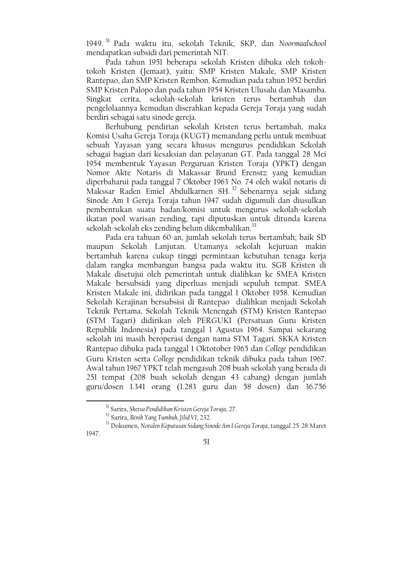1949.<sup>31</sup> Pada waktu itu, sekolah Teknik, SKP, dan Noormaalschool mendapatkan subsidi dari pemerintah NIT.

Pada tahun 1951 beberapa sekolah Kristen dibuka oleh tokohtokoh Kristen (Jemaat), yaitu: SMP Kristen Makale, SMP Kristen Rantepao, dan SMP Kristen Rembon. Kemudian pada tahun 1952 berdiri SMP Kristen Palopo dan pada tahun 1954 Kristen Ulusalu dan Masamba. Singkat cerita, sekolah-sekolah kristen terus bertambah dan pengelolaannya kemudian diserahkan kepada Gereja Toraja yang sudah berdiri sebagai satu sinode gereja.

Berhubung pendirian sekolah Kristen terus bertambah, maka Komisi Usaha Gereja Toraja (KUGT) memandang perlu untuk membuat sebuah Yayasan yang secara khusus mengurus pendidikan Sekolah sebagai bagian dari kesaksian dan pelayanan GT. Pada tanggal 28 Mei 1954 membentuk Yayasan Perguruan Kristen Toraja (YPKT) dengan Nomor Akte Notaris di Makassar Brund Erenstz yang kemudian diperbaharui pada tanggal 7 Oktober 1963 No. 74 oleh wakil notaris di Makssar Raden Emiel Abdulkarnen SH.<sup>32</sup> Sebenarnya sejak sidang Sinode Am I Gereja Toraja tahun 1947 sudah digumuli dan diusulkan pembentukan suatu badan/komisi untuk mengurus sekolah-sekolah ikatan pool warisan zending, tapi diputuskan untuk ditunda karena sekolah-sekolah eks zending belum dikembalikan.<sup>33</sup>

Pada era tahuan 60-an, jumlah sekolah terus bertambah; baik SD maupun Sekolah Lanjutan. Utamanya sekolah kejuruan makin bertambah karena cukup tinggi permintaan kebutuhan tenaga kerja dalam rangka membangun bangsa pada waktu itu. SGB Kristen di Makale disetujui oleh pemerintah untuk dialihkan ke SMEA Kristen Makale bersubsidi yang diperluas menjadi sepuluh tempat. SMEA Kristen Makale ini, didirikan pada tanggal 1 Oktober 1958. Kemudian Sekolah Kerajinan bersubsisi di Rantepao dialihkan menjadi Sekolah Teknik Pertama, Sekolah Teknik Menengah (STM) Kristen Rantepao (STM Tagari) didirikan oleh PERGUKI (Persatuan Guru Kristen Republik Indonesia) pada tanggal 1 Agustus 1964. Sampai sekarang sekolah ini masih beroperasi dengan nama STM Tagari. SKKA Kristen Rantepao dibuka pada tanggal 1 Oktotober 1965 dan College pendidikan Guru Kristen serta College pendidikan teknik dibuka pada tahun 1967. Awal tahun 1967 YPKT telah mengasuh 208 buah sekolah yang berada di 251 tempat (208 buah sekolah dengan 43 cabang) dengan jumlah guru/dosen 1.341 orang (1.283 guru dan 58 dosen) dan 36.756

<sup>&</sup>lt;sup>33</sup> Dokumen, Notulen Keputusan Sidang Sinode Am I Gereja Toraja, tanggal 25-28 Maret 1947.



<sup>&</sup>lt;sup>31</sup> Sarira, Sketsa Pendidikan Kristen Gereja Toraja, 27.

<sup>&</sup>lt;sup>32</sup> Sarira, Benih Yang Tumbuh, Jilid VI, 232.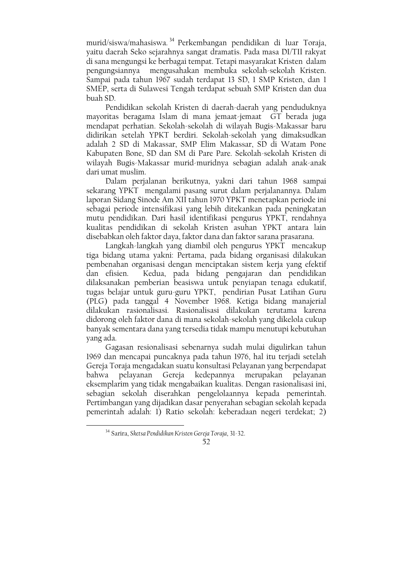murid/siswa/mahasiswa.<sup>34</sup> Perkembangan pendidikan di luar Toraja. yaitu daerah Seko sejarahnya sangat dramatis. Pada masa DI/TII rakyat di sana mengungsi ke berbagai tempat. Tetapi masyarakat Kristen dalam pengungsiannya mengusahakan membuka sekolah-sekolah Kristen. Sampai pada tahun 1967 sudah terdapat 13 SD, 1 SMP Kristen, dan 1 SMEP, serta di Sulawesi Tengah terdapat sebuah SMP Kristen dan dua buah SD.

Pendidikan sekolah Kristen di daerah-daerah yang penduduknya mayoritas beragama Islam di mana jemaat-jemaat GT berada juga mendapat perhatian. Sekolah-sekolah di wilayah Bugis-Makassar baru didirikan setelah YPKT berdiri. Sekolah-sekolah yang dimaksudkan adalah 2 SD di Makassar, SMP Elim Makassar, SD di Watam Pone Kabupaten Bone, SD dan SM di Pare Pare. Sekolah-sekolah Kristen di wilayah Bugis-Makassar murid-muridnya sebagian adalah anak-anak dari umat muslim.

Dalam perjalanan berikutnya, yakni dari tahun 1968 sampai sekarang YPKT mengalami pasang surut dalam perjalanannya. Dalam laporan Sidang Sinode Am XII tahun 1970 YPKT menetapkan periode ini sebagai periode intensifikasi yang lebih ditekankan pada peningkatan mutu pendidikan. Dari hasil identifikasi pengurus YPKT, rendahnya kualitas pendidikan di sekolah Kristen asuhan YPKT antara lain disebabkan oleh faktor daya, faktor dana dan faktor sarana prasarana.

Langkah-langkah yang diambil oleh pengurus YPKT mencakup tiga bidang utama yakni: Pertama, pada bidang organisasi dilakukan pembenahan organisasi dengan menciptakan sistem kerja yang efektif dan efisien. Kedua, pada bidang pengajaran dan pendidikan dilaksanakan pemberian beasiswa untuk penyiapan tenaga edukatif, tugas belajar untuk guru-guru YPKT, pendirian Pusat Latihan Guru (PLG) pada tanggal 4 November 1968. Ketiga bidang manajerial dilakukan rasionalisasi. Rasionalisasi dilakukan terutama karena didorong oleh faktor dana di mana sekolah-sekolah yang dikelola cukup banyak sementara dana yang tersedia tidak mampu menutupi kebutuhan yang ada.

Gagasan resionalisasi sebenarnya sudah mulai digulirkan tahun 1969 dan mencapai puncaknya pada tahun 1976, hal itu terjadi setelah Gereja Toraja mengadakan suatu konsultasi Pelayanan yang berpendapat pelayanan Gereja kedepannya merupakan pelavanan bahwa eksemplarim yang tidak mengabaikan kualitas. Dengan rasionalisasi ini, sebagian sekolah diserahkan pengelolaannya kepada pemerintah. Pertimbangan yang dijadikan dasar penyerahan sebagian sekolah kepada pemerintah adalah: 1) Ratio sekolah: keberadaan negeri terdekat; 2)

<sup>&</sup>lt;sup>34</sup> Sarira, Sketsa Pendidikan Kristen Gereja Toraja, 31-32.

<sup>52</sup>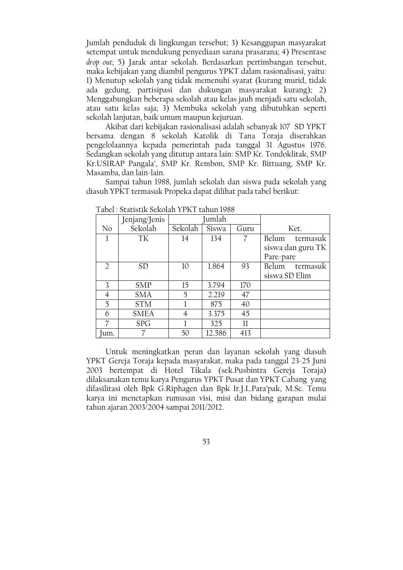Jumlah penduduk di lingkungan tersebut; 3) Kesanggupan masyarakat setempat untuk mendukung penyediaan sarana prasarana; 4) Presentase drop out; 5) Jarak antar sekolah. Berdasarkan pertimbangan tersebut, maka kebijakan yang diambil pengurus YPKT dalam rasionalisasi, yaitu: 1) Menutup sekolah yang tidak memenuhi syarat (kurang murid, tidak ada gedung, partisipasi dan dukungan masyarakat kurang); 2) Menggabungkan beberapa sekolah atau kelas jauh menjadi satu sekolah, atau satu kelas saja; 3) Membuka sekolah yang dibutuhkan seperti sekolah lanjutan, baik umum maupun kejuruan.

Akibat dari kebijakan rasionalisasi adalah sebanyak 107 SD YPKT bersama dengan 8 sekolah Katolik di Tana Toraja diserahkan pengelolaannya kepada pemerintah pada tanggal 31 Agustus 1976. Sedangkan sekolah yang ditutup antara lain: SMP Kr. Tondoklitak, SMP Kr.USIRAP Pangala', SMP Kr. Rembon, SMP Kr. Bittuang, SMP Kr. Masamba, dan lain-lain.

Sampai tahun 1988, jumlah sekolah dan siswa pada sekolah yang diasuh YPKT termasuk Propeka dapat dilihat pada tabel berikut:

|     | Jenjang/Jenis | umlah   |        |      |                   |  |
|-----|---------------|---------|--------|------|-------------------|--|
| No  | Sekolah       | Sekolah | Siswa  | Guru | Ket.              |  |
|     | TK            | 14      | 134    |      | Belum<br>termasuk |  |
|     |               |         |        |      | siswa dan guru TK |  |
|     |               |         |        |      | Pare-pare         |  |
| 2   | <b>SD</b>     | 10      | 1.864  | 93   | Belum<br>termasuk |  |
|     |               |         |        |      | siswa SD Elim     |  |
| 3   | <b>SMP</b>    | 15      | 3.794  | 170  |                   |  |
| 4   | <b>SMA</b>    | 5       | 2.219  | 47   |                   |  |
| 5   | <b>STM</b>    |         | 875    | 40   |                   |  |
| 6   | <b>SMEA</b>   | 4       | 3.375  | 45   |                   |  |
|     | <b>SPG</b>    |         | 325    | 11   |                   |  |
| um. |               | 50      | 12.586 | 413  |                   |  |

Tabel: Statistik Sekolah YPKT tahun 1988

Untuk meningkatkan peran dan layanan sekolah yang diasuh YPKT Gereja Toraja kepada masyarakat, maka pada tanggal 23-25 Juni 2003 bertempat di Hotel Tikala (sek. Pusbintra Gereja Toraja) dilaksanakan temu karya Pengurus YPKT Pusat dan YPKT Cabang yang difasilitasi oleh Bpk G.Riphagen dan Bpk Ir.J.L.Para'pak, M.Sc. Temu karya ini menetapkan rumusan visi, misi dan bidang garapan mulai tahun ajaran 2003/2004 sampai 2011/2012.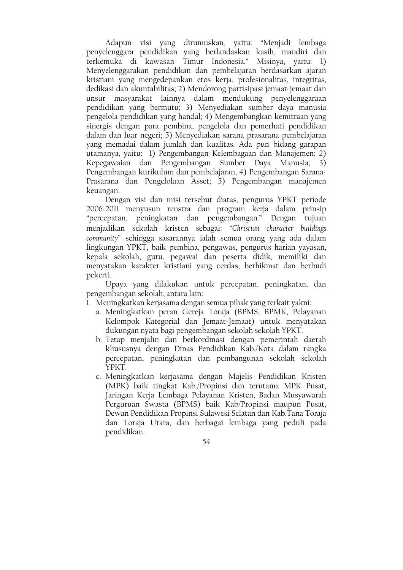Adapun visi yang dirumuskan, yaitu: "Menjadi lembaga penyelenggara pendidikan yang berlandaskan kasih, mandiri dan terkemuka di kawasan Timur Indonesia." Misinya, yaitu: 1) Menyelenggarakan pendidikan dan pembelajaran berdasarkan ajaran kristiani yang mengedepankan etos kerja, profesionalitas, integritas, dedikasi dan akuntabilitas; 2) Mendorong partisipasi jemaat-jemaat dan unsur masyarakat lainnya dalam mendukung penyelenggaraan pendidikan yang bermutu; 3) Menyediakan sumber daya manusia pengelola pendidikan yang handal; 4) Mengembangkan kemitraan yang sinergis dengan para pembina, pengelola dan pemerhati pendidikan dalam dan luar negeri; 5) Menyediakan sarana prasarana pembelajaran yang memadai dalam jumlah dan kualitas. Ada pun bidang garapan utamanya, yaitu: 1) Pengembangan Kelembagaan dan Manajemen; 2) Kepegawaian dan Pengembangan Sumber Daya Manusia; 3) Pengembangan kurikulum dan pembelajaran; 4) Pengembangan Sarana-Prasarana dan Pengelolaan Asset; 5) Pengembangan manajemen keuangan.

Dengan visi dan misi tersebut diatas, pengurus YPKT periode 2006-2011 menyusun renstra dan program kerja dalam prinsip "percepatan, peningkatan dan pengembangan." Dengan tujuan menjadikan sekolah kristen sebagai: "Christian character buildings community" sehingga sasarannya ialah semua orang yang ada dalam lingkungan YPKT, baik pembina, pengawas, pengurus harian yayasan, kepala sekolah, guru, pegawai dan peserta didik, memiliki dan menyatakan karakter kristiani yang cerdas, berhikmat dan berbudi pekerti.

Upaya yang dilakukan untuk percepatan, peningkatan, dan pengembangan sekolah, antara lain:

- 1. Meningkatkan kerjasama dengan semua pihak yang terkait yakni:
	- a. Meningkatkan peran Gereja Toraja (BPMS, BPMK, Pelayanan Kelompok Kategorial dan Jemaat-Jemaat) untuk menyatakan dukungan nyata bagi pengembangan sekolah sekolah YPKT.
	- b. Tetap menialin dan berkordinasi dengan pemerintah daerah khususnya dengan Dinas Pendidikan Kab./Kota dalam rangka percepatan, peningkatan dan pembangunan sekolah sekolah YPKT.
	- c. Meningkatkan kerjasama dengan Majelis Pendidikan Kristen (MPK) baik tingkat Kab./Propinsi dan terutama MPK Pusat, Jaringan Kerja Lembaga Pelayanan Kristen, Badan Musyawarah Perguruan Swasta (BPMS) baik Kab/Propinsi maupun Pusat, Dewan Pendidikan Propinsi Sulawesi Selatan dan Kab.Tana Toraja dan Toraja Utara, dan berbagai lembaga yang peduli pada pendidikan.
		- 54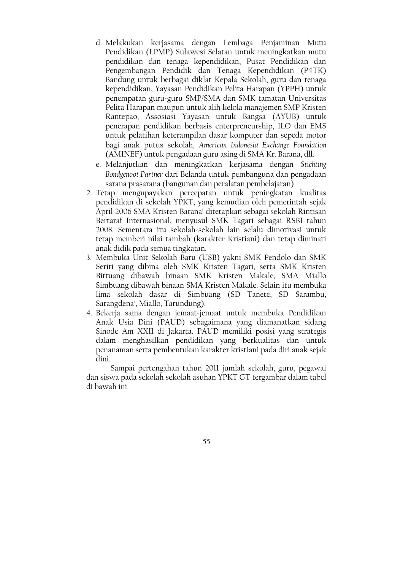- d. Melakukan kerjasama dengan Lembaga Penjaminan Mutu Pendidikan (LPMP) Sulawesi Selatan untuk meningkatkan mutu pendidikan dan tenaga kependidikan, Pusat Pendidikan dan Pengembangan Pendidik dan Tenaga Kependidikan (P4TK) Bandung untuk berbagai diklat Kepala Sekolah, guru dan tenaga kependidikan, Yayasan Pendidikan Pelita Harapan (YPPH) untuk penempatan guru-guru SMP/SMA dan SMK tamatan Universitas Pelita Harapan maupun untuk alih kelola manajemen SMP Kristen Rantepao, Assosiasi Yayasan untuk Bangsa (AYUB) untuk penerapan pendidikan berbasis enterpreneurship, ILO dan EMS untuk pelatihan keterampilan dasar komputer dan sepeda motor bagi anak putus sekolah, American Indonesia Exchange Foundation (AMINEF) untuk pengadaan guru asing di SMA Kr. Barana, dll.
- e. Melanjutkan dan meningkatkan kerjasama dengan Stichting Bondgenoot Partner dari Belanda untuk pembanguna dan pengadaan sarana prasarana (bangunan dan peralatan pembelajaran)
- 2. Tetap mengupayakan percepatan untuk peningkatan kualitas pendidikan di sekolah YPKT, yang kemudian oleh pemerintah sejak April 2006 SMA Kristen Barana' ditetapkan sebagai sekolah Rintisan Bertaraf Internasional, menyusul SMK Tagari sebagai RSBI tahun 2008. Sementara itu sekolah-sekolah lain selalu dimotivasi untuk tetap memberi nilai tambah (karakter Kristiani) dan tetap diminati anak didik pada semua tingkatan.
- 3. Membuka Unit Sekolah Baru (USB) yakni SMK Pendolo dan SMK Seriti yang dibina oleh SMK Kristen Tagari, serta SMK Kristen Bittuang dibawah binaan SMK Kristen Makale, SMA Miallo Simbuang dibawah binaan SMA Kristen Makale. Selain itu membuka lima sekolah dasar di Simbuang (SD Tanete, SD Sarambu, Sarangdena', Miallo, Tarundung).
- 4. Bekerja sama dengan jemaat-jemaat untuk membuka Pendidikan Anak Usia Dini (PAUD) sebagaimana yang diamanatkan sidang Sinode Am XXII di Jakarta. PAUD memiliki posisi yang strategis dalam menghasilkan pendidikan yang berkualitas dan untuk penanaman serta pembentukan karakter kristiani pada diri anak sejak dini.

Sampai pertengahan tahun 2011 jumlah sekolah, guru, pegawai dan siswa pada sekolah sekolah asuhan YPKT GT tergambar dalam tabel di bawah ini.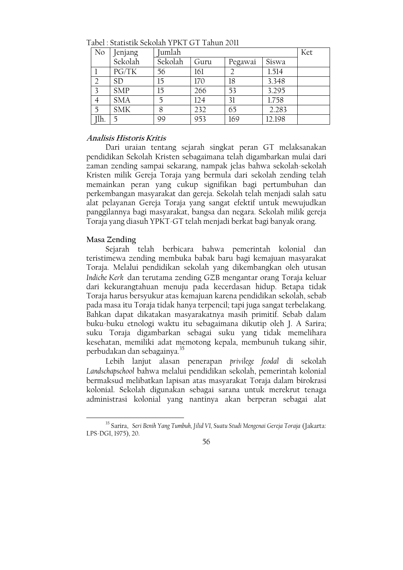| N <sub>o</sub> | Jenjang    | Jumlah  |      |         |        | Ket |
|----------------|------------|---------|------|---------|--------|-----|
|                | Sekolah    | Sekolah | Guru | Pegawai | Siswa  |     |
|                | PG/TK      | 56      | 161  |         | 1.514  |     |
| $\overline{2}$ | <b>SD</b>  | 15      | 170  | 18      | 3.348  |     |
| $\overline{3}$ | <b>SMP</b> | 15      | 266  | 53      | 3.295  |     |
| $\overline{4}$ | <b>SMA</b> | 5       | 124  | 31      | 1.758  |     |
| 5              | <b>SMK</b> | 8       | 232  | 65      | 2.283  |     |
| Ilh.           |            | 99      | 953  | 169     | 12.198 |     |

Tabel · Statistik Sekolah YPKT GT Tahun 2011

# Analisis Historis Kritis

Dari uraian tentang sejarah singkat peran GT melaksanakan pendidikan Sekolah Kristen sebagaimana telah digambarkan mulai dari zaman zending sampai sekarang, nampak jelas bahwa sekolah-sekolah Kristen milik Gereja Toraja yang bermula dari sekolah zending telah memainkan peran yang cukup signifikan bagi pertumbuhan dan perkembangan masyarakat dan gereja. Sekolah telah menjadi salah satu alat pelayanan Gereja Toraja yang sangat efektif untuk mewujudkan panggilannya bagi masyarakat, bangsa dan negara. Sekolah milik gereja Toraja yang diasuh YPKT-GT telah menjadi berkat bagi banyak orang.

### Masa Zending

Sejarah telah berbicara bahwa pemerintah kolonial dan teristimewa zending membuka babak baru bagi kemajuan masyarakat Toraja. Melalui pendidikan sekolah yang dikembangkan oleh utusan Indiche Kerk dan terutama zending GZB mengantar orang Toraja keluar dari kekurangtahuan menuju pada kecerdasan hidup. Betapa tidak Toraja harus bersvukur atas kemajuan karena pendidikan sekolah, sebab pada masa itu Toraja tidak hanya terpencil; tapi juga sangat terbelakang. Bahkan dapat dikatakan masyarakatnya masih primitif. Sebab dalam buku-buku etnologi waktu itu sebagaimana dikutip oleh J. A Sarira; suku Toraja digambarkan sebagai suku yang tidak memelihara kesehatan, memiliki adat memotong kepala, membunuh tukang sihir, perbudakan dan sebagainya.<sup>35</sup>

Lebih lanjut alasan penerapan privilege feodal di sekolah Landschapschool bahwa melalui pendidikan sekolah, pemerintah kolonial bermaksud melibatkan lapisan atas masyarakat Toraja dalam birokrasi kolonial. Sekolah digunakan sebagai sarana untuk merekrut tenaga administrasi kolonial yang nantinya akan berperan sebagai alat

<sup>&</sup>lt;sup>35</sup> Sarira, Seri Benih Yang Tumbuh, Jilid VI, Suatu Studi Mengenai Gereja Toraja (Jakarta: LPS-DGI, 1975), 20.

<sup>56</sup>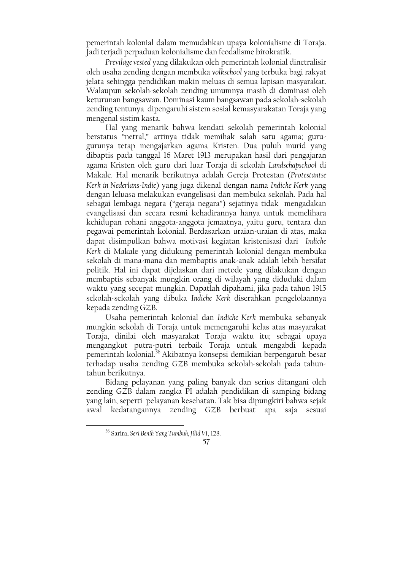pemerintah kolonial dalam memudahkan upaya kolonialisme di Toraja. Jadi terjadi perpaduan kolonialisme dan feodalisme birokratik.

Previlage vested yang dilakukan oleh pemerintah kolonial dinetralisir oleh usaha zending dengan membuka volkschool yang terbuka bagi rakyat jelata sehingga pendidikan makin meluas di semua lapisan masyarakat. Walaupun sekolah-sekolah zending umumnya masih di dominasi oleh keturunan bangsawan. Dominasi kaum bangsawan pada sekolah-sekolah zending tentunya dipengaruhi sistem sosial kemasyarakatan Toraja yang mengenal sistim kasta.

Hal yang menarik bahwa kendati sekolah pemerintah kolonial berstatus "netral," artinya tidak memihak salah satu agama; gurugurunya tetap mengajarkan agama Kristen. Dua puluh murid yang dibaptis pada tanggal 16 Maret 1913 merupakan hasil dari pengajaran agama Kristen oleh guru dari luar Toraja di sekolah Landschapschool di Makale. Hal menarik berikutnya adalah Gereja Protestan (Protestantse Kerk in Nederlans-Indie) yang juga dikenal dengan nama Indiche Kerk yang dengan leluasa melakukan evangelisasi dan membuka sekolah. Pada hal sebagai lembaga negara ("geraja negara") sejatinya tidak mengadakan evangelisasi dan secara resmi kehadirannya hanya untuk memelihara kehidupan rohani anggota-anggota jemaatnya, yaitu guru, tentara dan pegawai pemerintah kolonial. Berdasarkan uraian-uraian di atas, maka dapat disimpulkan bahwa motivasi kegiatan kristenisasi dari Indiche Kerk di Makale yang didukung pemerintah kolonial dengan membuka sekolah di mana-mana dan membaptis anak-anak adalah lebih bersifat politik. Hal ini dapat dijelaskan dari metode yang dilakukan dengan membaptis sebanyak mungkin orang di wilayah yang diduduki dalam waktu yang secepat mungkin. Dapatlah dipahami, jika pada tahun 1915 sekolah-sekolah yang dibuka Indiche Kerk diserahkan pengelolaannya kepada zending GZB.

Usaha pemerintah kolonial dan Indiche Kerk membuka sebanyak mungkin sekolah di Toraja untuk memengaruhi kelas atas masyarakat Toraja, dinilai oleh masyarakat Toraja waktu itu; sebagai upaya mengangkut putra-putri terbaik Toraja untuk mengabdi kepada pemerintah kolonial.<sup>36</sup> Akibatnya konsepsi demikian berpengaruh besar terhadap usaha zending GZB membuka sekolah-sekolah pada tahuntahun berikutnya.

Bidang pelayanan yang paling banyak dan serius ditangani oleh zending GZB dalam rangka PI adalah pendidikan di samping bidang yang lain, seperti pelayanan kesehatan. Tak bisa dipungkiri bahwa sejak awal kedatangannya zending GZB berbuat apa saja sesuai

<sup>&</sup>lt;sup>36</sup> Sarira, Seri Benih Yang Tumbuh, Jilid VI, 128.

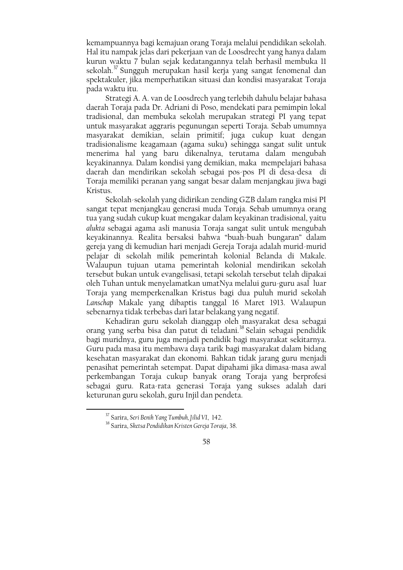kemampuannya bagi kemajuan orang Toraja melalui pendidikan sekolah. Hal itu nampak jelas dari pekerjaan van de Loosdrecht yang hanya dalam kurun waktu 7 bulan sejak kedatangannya telah berhasil membuka 11 sekolah.<sup>37</sup> Sungguh merupakan hasil kerja yang sangat fenomenal dan spektakuler, jika memperhatikan situasi dan kondisi masyarakat Toraja pada waktu itu.

Strategi A. A. van de Loosdrech yang terlebih dahulu belajar bahasa daerah Toraja pada Dr. Adriani di Poso, mendekati para pemimpin lokal tradisional, dan membuka sekolah merupakan strategi PI yang tepat untuk masyarakat aggraris pegunungan seperti Toraja. Sebab umumnya masyarakat demikian, selain primitif; juga cukup kuat dengan tradisionalisme keagamaan (agama suku) sehingga sangat sulit untuk menerima hal yang baru dikenalnya, terutama dalam mengubah keyakinannya. Dalam kondisi yang demikian, maka mempelajari bahasa daerah dan mendirikan sekolah sebagai pos-pos PI di desa-desa di Toraja memiliki peranan yang sangat besar dalam menjangkau jiwa bagi Kristus.

Sekolah-sekolah yang didirikan zending GZB dalam rangka misi PI sangat tepat menjangkau generasi muda Toraja. Sebab umumnya orang tua yang sudah cukup kuat mengakar dalam keyakinan tradisional, yaitu alukta sebagai agama asli manusia Toraja sangat sulit untuk mengubah keyakinannya. Realita bersaksi bahwa "buah-buah bungaran" dalam gereja yang di kemudian hari menjadi Gereja Toraja adalah murid-murid pelajar di sekolah milik pemerintah kolonial Belanda di Makale. Walaupun tujuan utama pemerintah kolonial mendirikan sekolah tersebut bukan untuk evangelisasi, tetapi sekolah tersebut telah dipakai oleh Tuhan untuk menyelamatkan umatNya melalui guru-guru asal luar Toraja yang memperkenalkan Kristus bagi dua puluh murid sekolah Lanschap Makale yang dibaptis tanggal 16 Maret 1913. Walaupun sebenarnya tidak terbebas dari latar belakang yang negatif.

Kehadiran guru sekolah dianggap oleh masyarakat desa sebagai orang yang serba bisa dan patut di teladani.<sup>38</sup> Selain sebagai pendidik bagi muridnya, guru juga menjadi pendidik bagi masyarakat sekitarnya. Guru pada masa itu membawa daya tarik bagi masyarakat dalam bidang kesehatan masyarakat dan ekonomi. Bahkan tidak jarang guru menjadi penasihat pemerintah setempat. Dapat dipahami jika dimasa-masa awal perkembangan Toraja cukup banyak orang Toraja yang berprofesi sebagai guru. Rata-rata generasi Toraja yang sukses adalah dari keturunan guru sekolah, guru Injil dan pendeta.

<sup>&</sup>lt;sup>37</sup> Sarira, Seri Benih Yang Tumbuh, Jilid VI, 142.

<sup>&</sup>lt;sup>38</sup> Sarira, Sketsa Pendidikan Kristen Gereja Toraja, 38.

<sup>58</sup>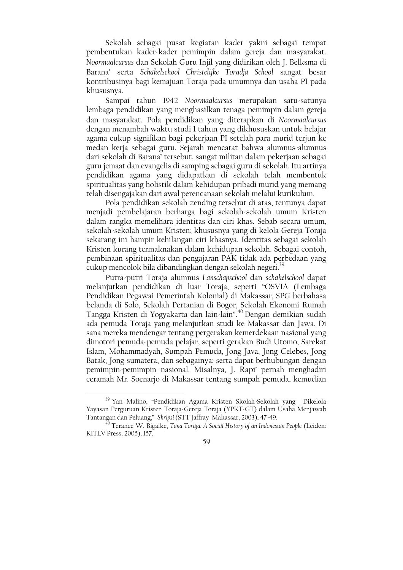Sekolah sebagai pusat kegiatan kader yakni sebagai tempat pembentukan kader-kader pemimpin dalam gereja dan masyarakat. Noormaalcursus dan Sekolah Guru Injil yang didirikan oleh J. Belksma di Barana' serta Schakelschool Christelijke Toradja School sangat besar kontribusinya bagi kemajuan Toraja pada umumnya dan usaha PI pada khususnya.

Sampai tahun 1942 Noormaalcursus merupakan satu-satunya lembaga pendidikan yang menghasilkan tenaga pemimpin dalam gereja dan masyarakat. Pola pendidikan yang diterapkan di Noormaalcursus dengan menambah waktu studi 1 tahun yang dikhususkan untuk belajar agama cukup signifikan bagi pekerjaan PI setelah para murid terjun ke medan kerja sebagai guru. Sejarah mencatat bahwa alumnus-alumnus dari sekolah di Barana' tersebut, sangat militan dalam pekerjaan sebagai guru jemaat dan evangelis di samping sebagai guru di sekolah. Itu artinya pendidikan agama yang didapatkan di sekolah telah membentuk spiritualitas yang holistik dalam kehidupan pribadi murid yang memang telah disengajakan dari awal perencanaan sekolah melalui kurikulum.

Pola pendidikan sekolah zending tersebut di atas, tentunya dapat menjadi pembelajaran berharga bagi sekolah-sekolah umum Kristen dalam rangka memelihara identitas dan ciri khas. Sebab secara umum, sekolah-sekolah umum Kristen; khususnya yang di kelola Gereja Toraja sekarang ini hampir kehilangan ciri khasnya. Identitas sebagai sekolah Kristen kurang termaknakan dalam kehidupan sekolah. Sebagai contoh, pembinaan spiritualitas dan pengajaran PAK tidak ada perbedaan yang cukup mencolok bila dibandingkan dengan sekolah negeri.<sup>39</sup>

Putra-putri Toraja alumnus Lanschapschool dan schakelschool dapat melanjutkan pendidikan di luar Toraja, seperti "OSVIA (Lembaga Pendidikan Pegawai Pemerintah Kolonial) di Makassar, SPG berbahasa belanda di Solo, Sekolah Pertanian di Bogor, Sekolah Ekonomi Rumah Tangga Kristen di Yogyakarta dan lain-lain".<sup>40</sup> Dengan demikian sudah ada pemuda Toraja yang melanjutkan studi ke Makassar dan Jawa. Di sana mereka mendengar tentang pergerakan kemerdekaan nasional yang dimotori pemuda-pemuda pelajar, seperti gerakan Budi Utomo, Sarekat Islam, Mohammadyah, Sumpah Pemuda, Jong Java, Jong Celebes, Jong Batak, Jong sumatera, dan sebagainya; serta dapat berhubungan dengan pemimpin-pemimpin nasional. Misalnya, J. Rapi' pernah menghadiri ceramah Mr. Soenarjo di Makassar tentang sumpah pemuda, kemudian

<sup>&</sup>lt;sup>40</sup> Terance W. Bigalke, *Tana Toraja: A Social History of an Indonesian People* (Leiden: KITLV Press, 2005), 157.



<sup>&</sup>lt;sup>39</sup> Yan Malino, "Pendidikan Agama Kristen Skolah-Sekolah yang Dikelola Yayasan Perguruan Kristen Toraja-Gereja Toraja (YPKT-GT) dalam Usaha Menjawab Tantangan dan Peluang," Skripsi (STT Jaffray Makassar, 2003), 47-49.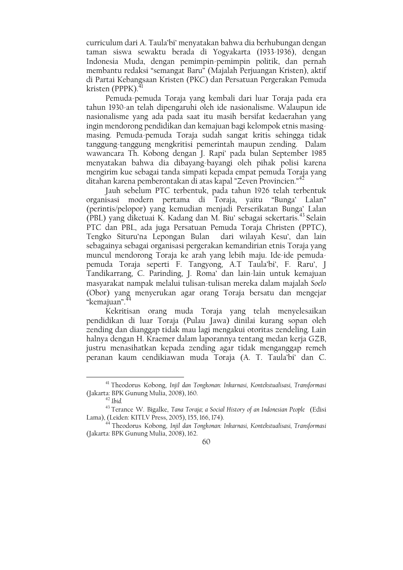curriculum dari A. Taula'bi' menyatakan bahwa dia berhubungan dengan taman siswa sewaktu berada di Yogyakarta (1933-1936), dengan Indonesia Muda, dengan pemimpin-pemimpin politik, dan pernah membantu redaksi "semangat Baru" (Majalah Perjuangan Kristen), aktif di Partai Kebangsaan Kristen (PKC) dan Persatuan Pergerakan Pemuda kristen (PPPK). $<sup>4</sup>$ </sup>

Pemuda-pemuda Toraja yang kembali dari luar Toraja pada era tahun 1930-an telah dipengaruhi oleh ide nasionalisme. Walaupun ide nasionalisme yang ada pada saat itu masih bersifat kedaerahan yang ingin mendorong pendidikan dan kemajuan bagi kelompok etnis masingmasing. Pemuda-pemuda Toraja sudah sangat kritis sehingga tidak tanggung-tanggung mengkritisi pemerintah maupun zending. Dalam wawancara Th. Kobong dengan J. Rapi' pada bulan September 1985 menyatakan bahwa dia dibayang-bayangi oleh pihak polisi karena mengirim kue sebagai tanda simpati kepada empat pemuda Toraja yang ditahan karena pemberontakan di atas kapal "Zeven Provincien."<sup>42</sup>

Jauh sebelum PTC terbentuk, pada tahun 1926 telah terbentuk organisasi modern pertama di Toraja, yaitu "Bunga" Lalan" (perintis/pelopor) yang kemudian menjadi Perserikatan Bunga' Lalan (PBL) yang diketuai K. Kadang dan M. Biu' sebagai sekertaris.<sup>43</sup> Selain PTC dan PBL, ada juga Persatuan Pemuda Toraja Christen (PPTC), Tengko Situru'na Lepongan Bulan dari wilayah Kesu', dan lain sebagainya sebagai organisasi pergerakan kemandirian etnis Toraja yang muncul mendorong Toraja ke arah yang lebih maju. Ide-ide pemudapemuda Toraja seperti F. Tangyong, A.T Taula'bi', F. Raru', J Tandikarrang, C. Parinding, J. Roma' dan lain-lain untuk kemajuan masyarakat nampak melalui tulisan-tulisan mereka dalam majalah Soelo (Obor) yang menyerukan agar orang Toraja bersatu dan mengejar "kemajuan".<sup>4</sup>

Kekritisan orang muda Toraja yang telah menyelesaikan pendidikan di luar Toraja (Pulau Jawa) dinilai kurang sopan oleh zending dan dianggap tidak mau lagi mengakui otoritas zendeling. Lain halnya dengan H. Kraemer dalam laporannya tentang medan kerja GZB, justru menasihatkan kepada zending agar tidak menganggap remeh peranan kaum cendikiawan muda Toraja (A. T. Taula'bi' dan C.

<sup>&</sup>lt;sup>14</sup> Theodorus Kobong, Injil dan Tongkonan: Inkarnasi, Kontekstualisasi, Transformasi (Jakarta: BPK Gunung Mulia, 2008), 162.



<sup>&</sup>lt;sup>41</sup> Theodorus Kobong, Injil dan Tongkonan: Inkarnasi, Kontekstualisasi, Transformasi (Jakarta: BPK Gunung Mulia, 2008), 160.

 $42$  Ibid.

<sup>&</sup>lt;sup>43</sup> Terance W. Bigalke, Tana Toraja; a Social History of an Indonesian People (Edisi Lama), (Leiden: KITLV Press, 2005), 155, 166, 174).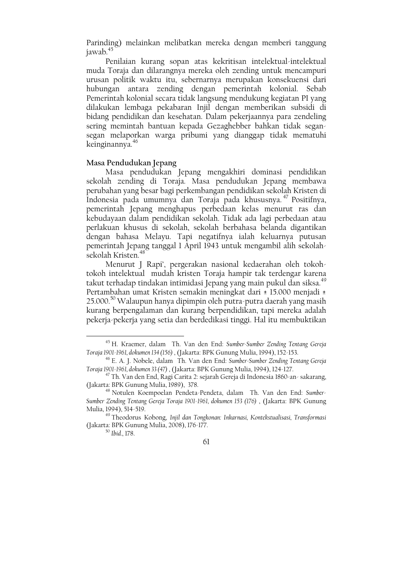Parinding) melainkan melibatkan mereka dengan memberi tanggung jawab.<sup>45</sup>

Penilaian kurang sopan atas kekritisan intelektual-intelektual muda Toraja dan dilarangnya mereka oleh zending untuk mencampuri urusan politik waktu itu, sebernarnya merupakan konsekuensi dari hubungan antara zending dengan pemerintah kolonial. Sebab Pemerintah kolonial secara tidak langsung mendukung kegiatan PI yang dilakukan lembaga pekabaran Injil dengan memberikan subsidi di bidang pendidikan dan kesehatan. Dalam pekerjaannya para zendeling sering memintah bantuan kepada Gezaghebber bahkan tidak segansegan melaporkan warga pribumi yang dianggap tidak mematuhi keinginannya.<sup>46</sup>

### Masa Pendudukan Jepang

Masa pendudukan Jepang mengakhiri dominasi pendidikan sekolah zending di Toraja. Masa pendudukan Jepang membawa perubahan yang besar bagi perkembangan pendidikan sekolah Kristen di Indonesia pada umumnya dan Toraja pada khususnya.<sup>47</sup> Positifnya, pemerintah Jepang menghapus perbedaan kelas menurut ras dan kebudayaan dalam pendidikan sekolah. Tidak ada lagi perbedaan atau perlakuan khusus di sekolah, sekolah berbahasa belanda digantikan dengan bahasa Melayu. Tapi negatifnya ialah keluarnya putusan pemerintah Jepang tanggal 1 April 1943 untuk mengambil alih sekolahsekolah Kristen.<sup>48</sup>

Menurut J Rapi', pergerakan nasional kedaerahan oleh tokohtokoh intelektual mudah kristen Toraja hampir tak terdengar karena takut terhadap tindakan intimidasi Jepang yang main pukul dan siksa.<sup>49</sup> Pertambahan umat Kristen semakin meningkat dari ± 15.000 menjadi ± 25.000.<sup>50</sup> Walaupun hanya dipimpin oleh putra-putra daerah yang masih kurang berpengalaman dan kurang berpendidikan, tapi mereka adalah pekerja-pekerja yang setia dan berdedikasi tinggi. Hal itu membuktikan

<sup>&</sup>lt;sup>45</sup> H. Kraemer, dalam Th. Van den End: Sumber-Sumber Zending Tentang Gereja Toraja 1901-1961, dokumen 134 (156), (Jakarta: BPK Gunung Mulia, 1994), 152-153.

<sup>&</sup>lt;sup>46</sup> E. A. J. Nobele, dalam Th. Van den End: Sumber-Sumber Zending Tentang Gereja Toraja 1901-1961, dokumen 33 (47), (Jakarta: BPK Gunung Mulia, 1994), 124-127.

<sup>&</sup>lt;sup>47</sup> Th. Van den End, Ragi Carita 2: sejarah Gereja di Indonesia 1860-an-sakarang, (Jakarta: BPK Gunung Mulia, 1989), 378.

<sup>&</sup>lt;sup>48</sup> Notulen Koempoelan Pendeta-Pendeta, dalam Th. Van den End: Sumber-Sumber Zending Tentang Gereja Toraja 1901-1961, dokumen 153 (176), (Jakarta: BPK Gunung Mulia, 1994), 514-519.

<sup>&</sup>lt;sup>49</sup> Theodorus Kobong, Injil dan Tongkonan: Inkarnasi, Kontekstualisasi, Transformasi (Jakarta: BPK Gunung Mulia, 2008), 176-177.

<sup>&</sup>lt;sup>50</sup> Ibid., 178.

<sup>61</sup>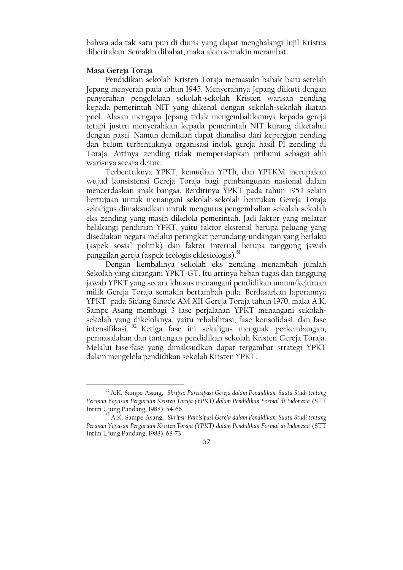bahwa ada tak satu pun di dunia yang dapat menghalangi Injil Kristus diberitakan. Semakin dibabat, maka akan semakin merambat.

### Masa Gereja Toraja

Pendidikan sekolah Kristen Toraja memasuki babak baru setelah Jepang menyerah pada tahun 1945. Menyerahnya Jepang diikuti dengan penyerahan pengelolaan sekolah-sekolah Kristen warisan zending kepada pemerintah NIT yang dikenal dengan sekolah-sekolah ikatan pool. Alasan mengapa Jepang tidak mengembalikannya kepada gereja tetapi justru menyerahkan kepada pemerintah NIT kurang diketahui dengan pasti. Namun demikian dapat dianalisa dari kepergian zending dan belum terbentuknya organisasi induk gereja hasil PI zending di Toraja. Artinya zending tidak mempersiapkan pribumi sebagai ahli warisnya secara dejure.

Terbentuknya YPKT, kemudian YPTh, dan YPTKM merupakan wujud konsistensi Gereja Toraja bagi pembangunan nasional dalam mencerdaskan anak bangsa. Berdirinya YPKT pada tahun 1954 selain bertujuan untuk menangani sekolah-sekolah bentukan Gereja Toraja sekaligus dimaksudkan untuk mengurus pengembalian sekolah-sekolah eks zending yang masih dikelola pemerintah. Jadi faktor yang melatar belakangi pendirian YPKT, yaitu faktor ekstenal berupa peluang yang disediakan negara melalui perangkat perundang-undangan yang berlaku (aspek sosial politik) dan faktor internal berupa tanggung jawab panggilan gereja (aspek teologis eklesiologis).<sup>51</sup>

Dengan kembalinya sekolah eks zending menambah jumlah Sekolah yang ditangani YPKT-GT. Itu artinya beban tugas dan tanggung jawab YPKT yang secara khusus menangani pendidikan umum/kejuruan milik Gereja Toraja semakin bertambah pula. Berdasarkan laporannya YPKT pada Sidang Sinode AM XII Gereja Toraja tahun 1970, maka A.K. Sampe Asang membagi 3 fase perjalanan YPKT menangani sekolah sekolah yang dikelolanya, yaitu rehabilitasi, fase konsolidasi, dan fase intensifikasi.<sup>52</sup> Ketiga fase ini sekaligus menguak perkembangan, permasalahan dan tantangan pendidikan sekolah Kristen Gereja Toraja. Melalui fase-fase yang dimaksudkan dapat tergambar strategi YPKT dalam mengelola pendidikan sekolah Kristen YPKT.

A.K. Sampe Asang, Skripsi: Partisipasi Gereja dalam Pendidikan; Suatu Studi tentang Peranan Yayasan Perguruan Kristen Toraja (YPKT) dalam Pendidikan Formal di Indonesia (STT Intim Ujung Pandang, 1988), 68-73.



<sup>&</sup>lt;sup>51</sup> A.K. Sampe Asang, Skripsi: Partisipasi Gereja dalam Pendidikan; Suatu Studi tentang Peranan Yayasan Perguruan Kristen Toraja (YPKT) dalam Pendidikan Formal di Indonesia (STT Intim Ujung Pandang, 1988), 54-66.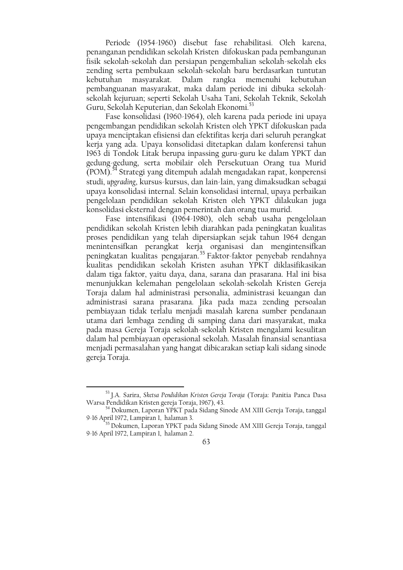Periode (1954-1960) disebut fase rehabilitasi. Oleh karena, penanganan pendidikan sekolah Kristen difokuskan pada pembangunan fisik sekolah-sekolah dan persiapan pengembalian sekolah-sekolah eks zending serta pembukaan sekolah-sekolah baru berdasarkan tuntutan Dalam kebutuhan masvarakat. rangka memenuhi kebutuhan pembanguanan masyarakat, maka dalam periode ini dibuka sekolahsekolah kejuruan; seperti Sekolah Usaha Tani, Sekolah Teknik, Sekolah Guru, Sekolah Keputerian, dan Sekolah Ekonomi.<sup>53</sup>

Fase konsolidasi (1960-1964), oleh karena pada periode ini upaya pengembangan pendidikan sekolah Kristen oleh YPKT difokuskan pada upaya menciptakan efisiensi dan efektifitas kerja dari seluruh perangkat kerja yang ada. Upaya konsolidasi ditetapkan dalam konferensi tahun 1963 di Tondok Litak berupa inpassing guru-guru ke dalam YPKT dan gedung-gedung, serta mobilair oleh Persekutuan Orang tua Murid (POM).<sup>54</sup> Strategi yang ditempuh adalah mengadakan rapat, konperensi studi, upgrading, kursus-kursus, dan lain-lain, yang dimaksudkan sebagai upaya konsolidasi internal. Selain konsolidasi internal, upaya perbaikan pengelolaan pendidikan sekolah Kristen oleh YPKT dilakukan juga konsolidasi eksternal dengan pemerintah dan orang tua murid.

Fase intensifikasi (1964-1980), oleh sebab usaha pengelolaan pendidikan sekolah Kristen lebih diarahkan pada peningkatan kualitas proses pendidikan yang telah dipersiapkan sejak tahun 1964 dengan menintensifkan perangkat kerja organisasi dan mengintensifkan peningkatan kualitas pengajaran.<sup>55</sup> Faktor-faktor penyebab rendahnya kualitas pendidikan sekolah Kristen asuhan YPKT diklasifikasikan dalam tiga faktor, yaitu daya, dana, sarana dan prasarana. Hal ini bisa menunjukkan kelemahan pengelolaan sekolah-sekolah Kristen Gereja Toraja dalam hal administrasi personalia, administrasi keuangan dan administrasi sarana prasarana. Jika pada maza zending persoalan pembiayaan tidak terlalu menjadi masalah karena sumber pendanaan utama dari lembaga zending di samping dana dari masyarakat, maka pada masa Gereja Toraja sekolah-sekolah Kristen mengalami kesulitan dalam hal pembiayaan operasional sekolah. Masalah finansial senantiasa menjadi permasalahan yang hangat dibicarakan setiap kali sidang sinode gereja Toraja.

<sup>&</sup>lt;sup>5</sup> Dokumen, Laporan YPKT pada Sidang Sinode AM XIII Gereja Toraja, tanggal 9-16 April 1972, Lampiran 1, halaman 2.



<sup>53</sup> J.A. Sarira, Sketsa Pendidikan Kristen Gereja Toraja (Toraja: Panitia Panca Dasa Warsa Pendidikan Kristen gereja Toraja, 1967), 43.

<sup>&</sup>lt;sup>54</sup> Dokumen, Laporan YPKT pada Sidang Sinode AM XIII Gereja Toraja, tanggal 9-16 April 1972, Lampiran 1, halaman 3.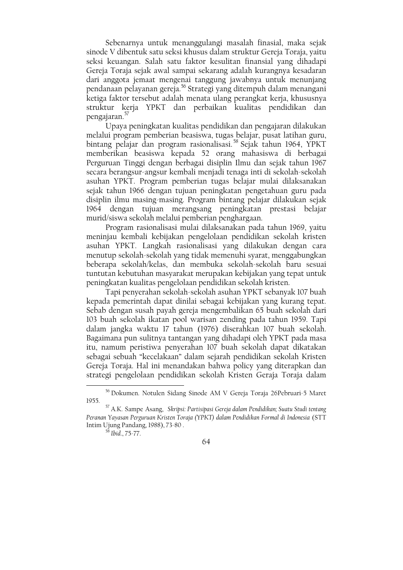Sebenarnya untuk menanggulangi masalah finasial, maka sejak sinode V dibentuk satu seksi khusus dalam struktur Gereja Toraja, yaitu seksi keuangan. Salah satu faktor kesulitan finansial yang dihadapi Gereja Toraja sejak awal sampai sekarang adalah kurangnya kesadaran dari anggota jemaat mengenai tanggung jawabnya untuk menunjang pendanaan pelayanan gereja.<sup>56</sup> Strategi yang ditempuh dalam menangani ketiga faktor tersebut adalah menata ulang perangkat kerja, khususnya struktur kerja YPKT dan perbaikan kualitas pendidikan dan pengajaran.<sup>37</sup>

Upaya peningkatan kualitas pendidikan dan pengajaran dilakukan melalui program pemberian beasiswa, tugas belajar, pusat latihan guru, bintang pelajar dan program rasionalisasi.<sup>58</sup> Sejak tahun 1964, YPKT memberikan beasiswa kepada 52 orang mahasiswa di berbagai Perguruan Tinggi dengan berbagai disiplin Ilmu dan sejak tahun 1967 secara berangsur-angsur kembali menjadi tenaga inti di sekolah-sekolah asuhan YPKT. Program pemberian tugas belajar mulai dilaksanakan sejak tahun 1966 dengan tujuan peningkatan pengetahuan guru pada disiplin ilmu masing-masing. Program bintang pelajar dilakukan sejak 1964 dengan tujuan merangsang peningkatan prestasi belajar murid/siswa sekolah melalui pemberian penghargaan.

Program rasionalisasi mulai dilaksanakan pada tahun 1969, yaitu meninjau kembali kebijakan pengelolaan pendidikan sekolah kristen asuhan YPKT. Langkah rasionalisasi yang dilakukan dengan cara menutup sekolah-sekolah yang tidak memenuhi syarat, menggabungkan beberapa sekolah/kelas, dan membuka sekolah-sekolah baru sesuai tuntutan kebutuhan masyarakat merupakan kebijakan yang tepat untuk peningkatan kualitas pengelolaan pendidikan sekolah kristen.

Tapi penyerahan sekolah-sekolah asuhan YPKT sebanyak 107 buah kepada pemerintah dapat dinilai sebagai kebijakan yang kurang tepat. Sebab dengan susah payah gereja mengembalikan 65 buah sekolah dari 103 buah sekolah ikatan pool warisan zending pada tahun 1959. Tapi dalam jangka waktu 17 tahun (1976) diserahkan 107 buah sekolah. Bagaimana pun sulitnya tantangan yang dihadapi oleh YPKT pada masa itu, namum peristiwa penyerahan 107 buah sekolah dapat dikatakan sebagai sebuah "kecelakaan" dalam sejarah pendidikan sekolah Kristen Gereja Toraja. Hal ini menandakan bahwa policy yang diterapkan dan strategi pengelolaan pendidikan sekolah Kristen Geraja Toraja dalam

<sup>58</sup> Ibid., 75-77.

<sup>&</sup>lt;sup>56</sup> Dokumen. Notulen Sidang Sinode AM V Gereja Toraja 26Pebruari-5 Maret 1955.

<sup>&</sup>lt;sup>57</sup> A.K. Sampe Asang, Skripsi: Partisipasi Gereja dalam Pendidikan; Suatu Studi tentang Peranan Yayasan Perguruan Kristen Toraja (YPKT) dalam Pendidikan Formal di Indonesia (STT Intim Ujung Pandang, 1988), 73-80.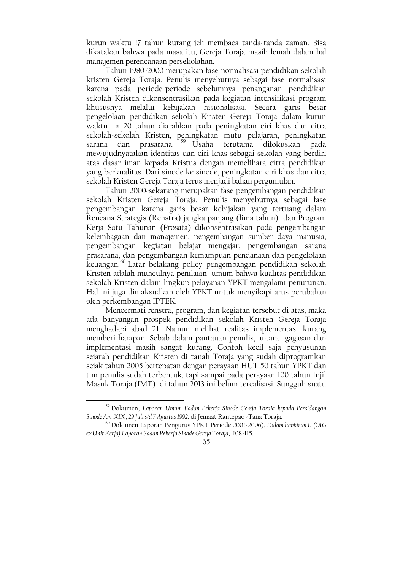kurun waktu 17 tahun kurang jeli membaca tanda-tanda zaman. Bisa dikatakan bahwa pada masa itu, Gereja Toraja masih lemah dalam hal manajemen perencanaan persekolahan.

Tahun 1980-2000 merupakan fase normalisasi pendidikan sekolah kristen Gereja Toraja. Penulis menyebutnya sebagai fase normalisasi karena pada periode-periode sebelumnya penanganan pendidikan sekolah Kristen dikonsentrasikan pada kegiatan intensifikasi program khususnya melalui kebijakan rasionalisasi. Secara garis besar pengelolaan pendidikan sekolah Kristen Gereja Toraja dalam kurun waktu ± 20 tahun diarahkan pada peningkatan ciri khas dan citra sekolah-sekolah Kristen, peningkatan mutu pelajaran, peningkatan prasarana. <sup>59</sup> Usaha terutama difokuskan pada sarana dan mewujudnyatakan identitas dan ciri khas sebagai sekolah yang berdiri atas dasar iman kepada Kristus dengan memelihara citra pendidikan yang berkualitas. Dari sinode ke sinode, peningkatan ciri khas dan citra sekolah Kristen Gereja Toraja terus menjadi bahan pergumulan.

Tahun 2000-sekarang merupakan fase pengembangan pendidikan sekolah Kristen Gereja Toraja. Penulis menyebutnya sebagai fase pengembangan karena garis besar kebijakan yang tertuang dalam Rencana Strategis (Renstra) jangka panjang (lima tahun) dan Program Kerja Satu Tahunan (Prosata) dikonsentrasikan pada pengembangan kelembagaan dan manajemen, pengembangan sumber daya manusia, pengembangan kegiatan belajar mengajar, pengembangan sarana prasarana, dan pengembangan kemampuan pendanaan dan pengelolaan keuangan.<sup>60</sup> Latar belakang policy pengembangan pendidikan sekolah Kristen adalah munculnya penilaian umum bahwa kualitas pendidikan sekolah Kristen dalam lingkup pelayanan YPKT mengalami penurunan. Hal ini juga dimaksudkan oleh YPKT untuk menyikapi arus perubahan oleh perkembangan IPTEK.

Mencermati renstra, program, dan kegiatan tersebut di atas, maka ada banyangan prospek pendidikan sekolah Kristen Gereja Toraja menghadapi abad 21. Namun melihat realitas implementasi kurang memberi harapan. Sebab dalam pantauan penulis, antara gagasan dan implementasi masih sangat kurang. Contoh kecil saja penyusunan sejarah pendidikan Kristen di tanah Toraja yang sudah diprogramkan sejak tahun 2005 bertepatan dengan perayaan HUT 50 tahun YPKT dan tim penulis sudah terbentuk, tapi sampai pada perayaan 100 tahun Injil Masuk Toraja (IMT) di tahun 2013 ini belum terealisasi. Sungguh suatu

<sup>&</sup>lt;sup>59</sup> Dokumen, Laporan Umum Badan Pekerja Sinode Gereja Toraja kepada Persidangan Sinode Am XIX, 29 Juli s/d 7 Agustus 1992, di Jemaat Rantepao - Tana Toraja.

<sup>&</sup>lt;sup>60</sup> Dokumen Laporan Pengurus YPKT Periode 2001-2006), Dalam lampiran II (OIG & Unit Kerja) Laporan Badan Pekerja Sinode Gereja Toraja, 108-115.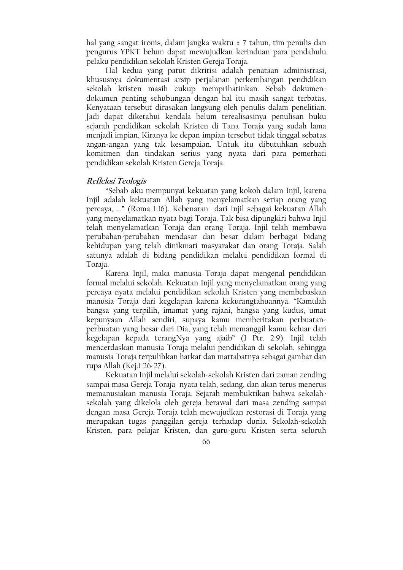hal yang sangat ironis, dalam jangka waktu ± 7 tahun, tim penulis dan pengurus YPKT belum dapat mewujudkan kerinduan para pendahulu pelaku pendidikan sekolah Kristen Gereja Toraja.

Hal kedua yang patut dikritisi adalah penataan administrasi, khususnya dokumentasi arsip perjalanan perkembangan pendidikan sekolah kristen masih cukup memprihatinkan. Sebab dokumendokumen penting sehubungan dengan hal itu masih sangat terbatas. Kenyataan tersebut dirasakan langsung oleh penulis dalam penelitian. Jadi dapat diketahui kendala belum terealisasinya penulisan buku sejarah pendidikan sekolah Kristen di Tana Toraja yang sudah lama menjadi impian. Kiranya ke depan impian tersebut tidak tinggal sebatas angan-angan yang tak kesampaian. Untuk itu dibutuhkan sebuah komitmen dan tindakan serius yang nyata dari para pemerhati pendidikan sekolah Kristen Gereja Toraja.

# Refleksi Teologis

"Sebab aku mempunyai kekuatan yang kokoh dalam Injil, karena Injil adalah kekuatan Allah yang menyelamatkan setiap orang yang percaya, ..." (Roma 1:16). Kebenaran dari Injil sebagai kekuatan Allah yang menyelamatkan nyata bagi Toraja. Tak bisa dipungkiri bahwa Injil telah menyelamatkan Toraja dan orang Toraja. Injil telah membawa perubahan-perubahan mendasar dan besar dalam berbagai bidang kehidupan yang telah dinikmati masyarakat dan orang Toraja. Salah satunya adalah di bidang pendidikan melalui pendidikan formal di Toraja.

Karena Injil, maka manusia Toraja dapat mengenal pendidikan formal melalui sekolah. Kekuatan Injil yang menyelamatkan orang yang percaya nyata melalui pendidikan sekolah Kristen yang membebaskan manusia Toraja dari kegelapan karena kekurangtahuannya. "Kamulah bangsa yang terpilih, imamat yang rajani, bangsa yang kudus, umat kepunyaan Allah sendiri, supaya kamu memberitakan perbuatanperbuatan yang besar dari Dia, yang telah memanggil kamu keluar dari kegelapan kepada terangNya yang ajaib" (1 Ptr. 2:9). Injil telah mencerdaskan manusia Toraja melalui pendidikan di sekolah, sehingga manusia Toraja terpulihkan harkat dan martabatnya sebagai gambar dan rupa Allah (Kej.1:26-27).

Kekuatan Injil melalui sekolah-sekolah Kristen dari zaman zending sampai masa Gereja Toraja nyata telah, sedang, dan akan terus menerus memanusiakan manusia Toraja. Sejarah membuktikan bahwa sekolahsekolah yang dikelola oleh gereja berawal dari masa zending sampai dengan masa Gereja Toraja telah mewujudkan restorasi di Toraja yang merupakan tugas panggilan gereja terhadap dunia. Sekolah-sekolah Kristen, para pelajar Kristen, dan guru-guru Kristen serta seluruh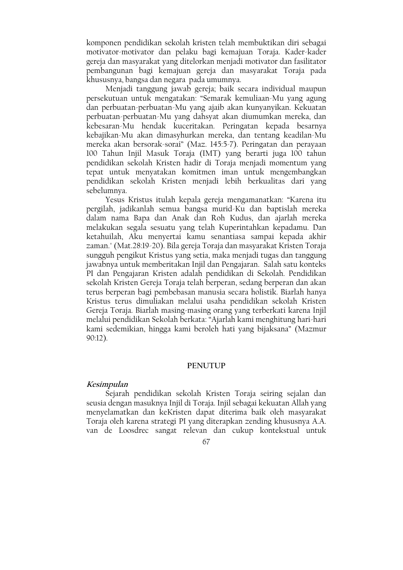komponen pendidikan sekolah kristen telah membuktikan diri sebagai motivator-motivator dan pelaku bagi kemajuan Toraja. Kader-kader gereja dan masyarakat yang ditelorkan menjadi motivator dan fasilitator pembangunan bagi kemajuan gereja dan masyarakat Toraja pada khususnya, bangsa dan negara pada umumnya.

Menjadi tanggung jawab gereja; baik secara individual maupun persekutuan untuk mengatakan: "Semarak kemuliaan-Mu yang agung dan perbuatan-perbuatan-Mu yang ajaib akan kunyanyikan. Kekuatan perbuatan-perbuatan-Mu yang dahsyat akan diumumkan mereka, dan kebesaran-Mu hendak kuceritakan. Peringatan kepada besarnya kebajikan-Mu akan dimasyhurkan mereka, dan tentang keadilan-Mu mereka akan bersorak-sorai" (Maz. 145:5-7). Peringatan dan perayaan 100 Tahun Injil Masuk Toraja (IMT) yang berarti juga 100 tahun pendidikan sekolah Kristen hadir di Toraja menjadi momentum yang tepat untuk menyatakan komitmen iman untuk mengembangkan pendidikan sekolah Kristen menjadi lebih berkualitas dari yang sebelumnya.

Yesus Kristus itulah kepala gereja mengamanatkan: "Karena itu pergilah, jadikanlah semua bangsa murid-Ku dan baptislah mereka dalam nama Bapa dan Anak dan Roh Kudus, dan ajarlah mereka melakukan segala sesuatu yang telah Kuperintahkan kepadamu. Dan ketahuilah, Aku menyertai kamu senantiasa sampai kepada akhir zaman." (Mat.28:19-20). Bila gereja Toraja dan masyarakat Kristen Toraja sungguh pengikut Kristus yang setia, maka menjadi tugas dan tanggung jawabnya untuk memberitakan Injil dan Pengajaran. Salah satu konteks PI dan Pengajaran Kristen adalah pendidikan di Sekolah. Pendidikan sekolah Kristen Gereja Toraja telah berperan, sedang berperan dan akan terus berperan bagi pembebasan manusia secara holistik. Biarlah hanya Kristus terus dimuliakan melalui usaha pendidikan sekolah Kristen Gereja Toraja. Biarlah masing-masing orang yang terberkati karena Injil melalui pendidikan Sekolah berkata: "Ajarlah kami menghitung hari-hari kami sedemikian, hingga kami beroleh hati yang bijaksana" (Mazmur  $90:12$ ).

### **PENUTUP**

# Kesimpulan

Sejarah pendidikan sekolah Kristen Toraja seiring sejalan dan seusia dengan masuknya Injil di Toraja. Injil sebagai kekuatan Allah yang menyelamatkan dan keKristen dapat diterima baik oleh masyarakat Toraja oleh karena strategi PI yang diterapkan zending khususnya A.A. van de Loosdrec sangat relevan dan cukup kontekstual untuk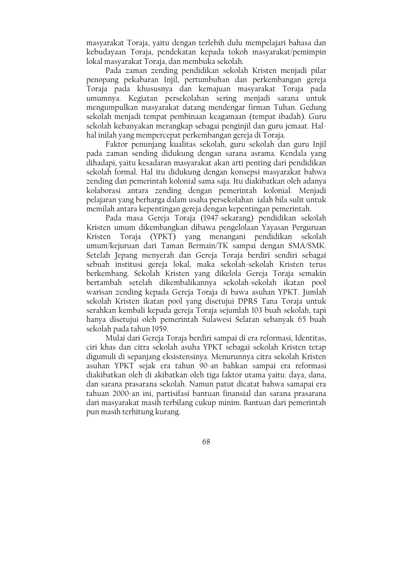masyarakat Toraja, yaitu dengan terlebih dulu mempelajari bahasa dan kebudayaan Toraja, pendekatan kepada tokoh masyarakat/pemimpin lokal masyarakat Toraja, dan membuka sekolah.

Pada zaman zending pendidikan sekolah Kristen menjadi pilar penopang pekabaran Injil, pertumbuhan dan perkembangan gereja Toraja pada khususnya dan kemajuan masyarakat Toraja pada umumnya. Kegiatan persekolahan sering menjadi sarana untuk mengumpulkan masyarakat datang mendengar firman Tuhan. Gedung sekolah menjadi tempat pembinaan keagamaan (tempat ibadah). Guru sekolah kebanyakan merangkap sebagai penginjil dan guru jemaat. Halhal inilah yang mempercepat perkembangan gereja di Toraja.

Faktor penunjang kualitas sekolah, guru sekolah dan guru Injil pada zaman sending didukung dengan sarana asrama. Kendala yang dihadapi, yaitu kesadaran masyarakat akan arti penting dari pendidikan sekolah formal. Hal itu didukung dengan konsepsi masyarakat bahwa zending dan pemerintah kolonial sama saja. Itu diakibatkan oleh adanya kolaborasi antara zending dengan pemerintah kolonial. Menjadi pelajaran yang berharga dalam usaha persekolahan jalah bila sulit untuk memilah antara kepentingan gereja dengan kepentingan pemerintah.

Pada masa Gereja Toraja (1947-sekarang) pendidikan sekolah Kristen umum dikembangkan dibawa pengelolaan Yayasan Perguruan Kristen Toraja (YPKT) yang menangani pendidikan sekolah umum/kejuruan dari Taman Bermain/TK sampai dengan SMA/SMK. Setelah Jepang menyerah dan Gereja Toraja berdiri sendiri sebagai sebuah institusi gereja lokal, maka sekolah-sekolah Kristen terus berkembang. Sekolah Kristen yang dikelola Gereja Toraja semakin bertambah setelah dikembalikannya sekolah-sekolah ikatan pool warisan zending kepada Gereja Toraja di bawa asuhan YPKT. Jumlah sekolah Kristen ikatan pool yang disetujui DPRS Tana Toraja untuk serahkan kembali kepada gereja Toraja sejumlah 103 buah sekolah, tapi hanya disetujui oleh pemerintah Sulawesi Selatan sebanyak 65 buah sekolah pada tahun 1959.

Mulai dari Gereja Toraja berdiri sampai di era reformasi, Identitas, ciri khas dan citra sekolah asuha YPKT sebagai sekolah Kristen tetap digumuli di sepanjang eksistensinya. Menurunnya citra sekolah Kristen asuhan YPKT sejak era tahun 90-an bahkan sampai era reformasi diakibatkan oleh di akibatkan oleh tiga faktor utama yaitu: daya, dana, dan sarana prasarana sekolah. Namun patut dicatat bahwa samapai era tahuan 2000-an ini, partisifasi bantuan finansial dan sarana prasarana dari masyarakat masih terbilang cukup minim. Bantuan dari pemerintah pun masih terhitung kurang.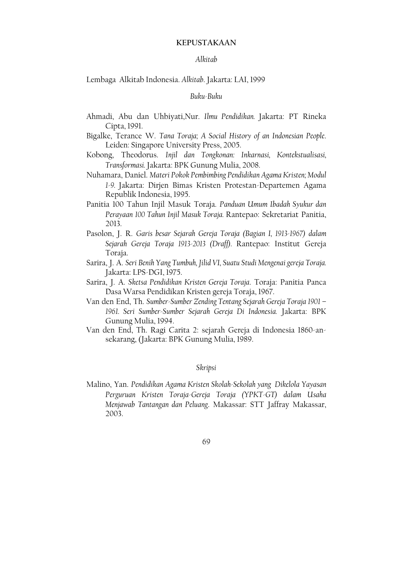# **KEPUSTAKAAN**

### Alkitab

### Lembaga Alkitab Indonesia. Alkitab. Jakarta: LAI, 1999

### Buku-Buku

- Ahmadi, Abu dan Uhbiyati, Nur. Ilmu Pendidikan. Jakarta: PT Rineka Cipta, 1991.
- Bigalke, Terance W. Tana Toraja; A Social History of an Indonesian People. Leiden: Singapore University Press, 2005.
- Kobong, Theodorus. Injil dan Tongkonan: Inkarnasi, Kontekstualisasi, Transformasi. Jakarta: BPK Gunung Mulia, 2008.
- Nuhamara, Daniel. Materi Pokok Pembimbing Pendidikan Agama Kristen; Modul 1-9. Jakarta: Dirjen Bimas Kristen Protestan-Departemen Agama Republik Indonesia, 1995.
- Panitia 100 Tahun Injil Masuk Toraja. Panduan Umum Ibadah Syukur dan Perayaan 100 Tahun Injil Masuk Toraja. Rantepao: Sekretariat Panitia, 2013.
- Pasolon, J. R. Garis besar Sejarah Gereja Toraja (Bagian I, 1913-1967) dalam Sejarah Gereja Toraja 1913-2013 (Draff). Rantepao: Institut Gereja Toraja.
- Sarira, J. A. Seri Benih Yang Tumbuh, Jilid VI, Suatu Studi Mengenai gereja Toraja. Jakarta: LPS-DGI, 1975.
- Sarira, J. A. Sketsa Pendidikan Kristen Gereja Toraja. Toraja: Panitia Panca Dasa Warsa Pendidikan Kristen gereja Toraja, 1967.
- Van den End, Th. Sumber-Sumber Zending Tentang Sejarah Gereja Toraja 1901 -1961. Seri Sumber-Sumber Sejarah Gereja Di Indonesia. Jakarta: BPK Gunung Mulia, 1994.
- Van den End, Th. Ragi Carita 2: sejarah Gereja di Indonesia 1860-ansekarang, (Jakarta: BPK Gunung Mulia, 1989.

# Skripsi

Malino, Yan. Pendidikan Agama Kristen Skolah-Sekolah yang Dikelola Yayasan Perguruan Kristen Toraja-Gereja Toraja (YPKT-GT) dalam Usaha Menjawab Tantangan dan Peluang, Makassar: STT Jaffray Makassar, 2003.